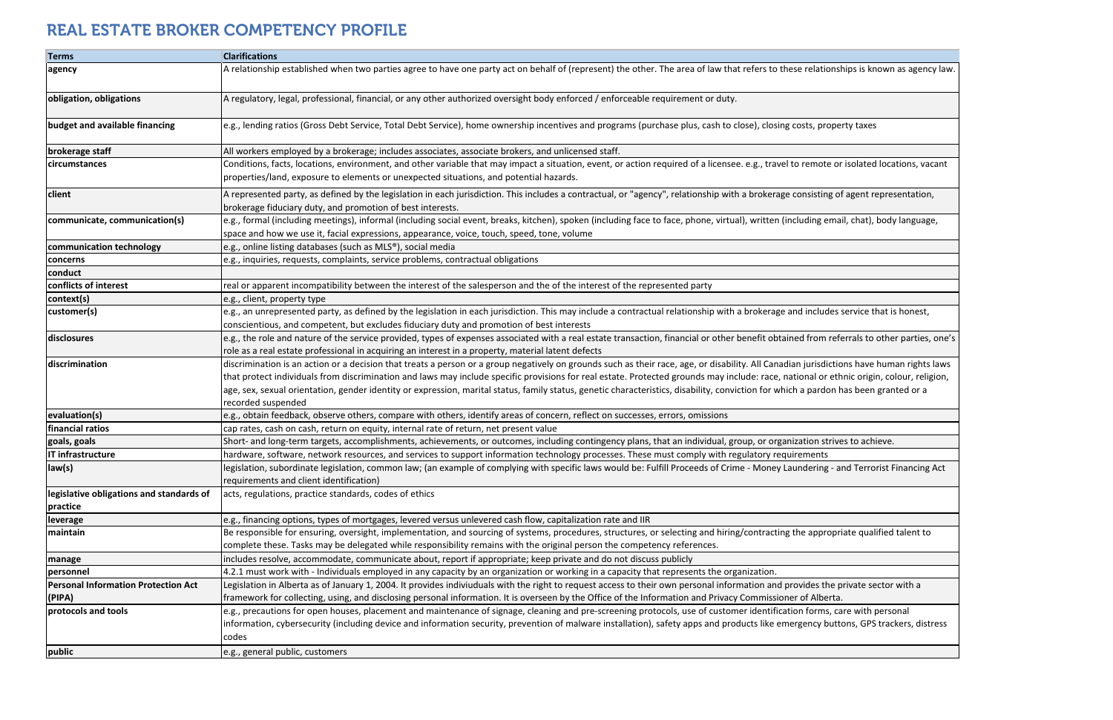| <b>Terms</b>                               | <b>Clarifications</b>                                                                                                                                                                      |
|--------------------------------------------|--------------------------------------------------------------------------------------------------------------------------------------------------------------------------------------------|
| agency                                     | A relationship established when two parties agree to have one party act on behalf of (represent) the other. The area of law that refers to these relationships is known as agency law.     |
| obligation, obligations                    | A regulatory, legal, professional, financial, or any other authorized oversight body enforced / enforceable requirement or duty.                                                           |
| budget and available financing             | e.g., lending ratios (Gross Debt Service, Total Debt Service), home ownership incentives and programs (purchase plus, cash to close), closing costs, property taxes                        |
| brokerage staff                            | All workers employed by a brokerage; includes associates, associate brokers, and unlicensed staff.                                                                                         |
| circumstances                              | Conditions, facts, locations, environment, and other variable that may impact a situation, event, or action required of a licensee. e.g., travel to remote or isolated locations, vacant   |
|                                            | properties/land, exposure to elements or unexpected situations, and potential hazards.                                                                                                     |
| client                                     | A represented party, as defined by the legislation in each jurisdiction. This includes a contractual, or "agency", relationship with a brokerage consisting of agent representation,       |
|                                            | brokerage fiduciary duty, and promotion of best interests.                                                                                                                                 |
| communicate, communication(s)              | e.g., formal (including meetings), informal (including social event, breaks, kitchen), spoken (including face to face, phone, virtual), written (including email, chat), body language,    |
|                                            | space and how we use it, facial expressions, appearance, voice, touch, speed, tone, volume                                                                                                 |
| communication technology                   | e.g., online listing databases (such as MLS®), social media                                                                                                                                |
| concerns                                   | e.g., inquiries, requests, complaints, service problems, contractual obligations                                                                                                           |
| conduct                                    |                                                                                                                                                                                            |
| conflicts of interest                      | real or apparent incompatibility between the interest of the salesperson and the of the interest of the represented party                                                                  |
| context(s)                                 | e.g., client, property type                                                                                                                                                                |
| customer(s)                                | e.g., an unrepresented party, as defined by the legislation in each jurisdiction. This may include a contractual relationship with a brokerage and includes service that is honest,        |
|                                            | conscientious, and competent, but excludes fiduciary duty and promotion of best interests                                                                                                  |
| disclosures                                | e.g., the role and nature of the service provided, types of expenses associated with a real estate transaction, financial or other benefit obtained from referrals to other parties, one's |
|                                            | role as a real estate professional in acquiring an interest in a property, material latent defects                                                                                         |
| discrimination                             | discrimination is an action or a decision that treats a person or a group negatively on grounds such as their race, age, or disability. All Canadian jurisdictions have human rights laws  |
|                                            | that protect individuals from discrimination and laws may include specific provisions for real estate. Protected grounds may include: race, national or ethnic origin, colour, religion,   |
|                                            | age, sex, sexual orientation, gender identity or expression, marital status, family status, genetic characteristics, disability, conviction for which a pardon has been granted or a       |
|                                            | recorded suspended                                                                                                                                                                         |
| evaluation(s)                              | e.g., obtain feedback, observe others, compare with others, identify areas of concern, reflect on successes, errors, omissions                                                             |
| financial ratios                           | cap rates, cash on cash, return on equity, internal rate of return, net present value                                                                                                      |
| goals, goals                               | Short- and long-term targets, accomplishments, achievements, or outcomes, including contingency plans, that an individual, group, or organization strives to achieve.                      |
| IT infrastructure                          | hardware, software, network resources, and services to support information technology processes. These must comply with regulatory requirements                                            |
| law(s)                                     | legislation, subordinate legislation, common law; (an example of complying with specific laws would be: Fulfill Proceeds of Crime - Money Laundering - and Terrorist Financing Act         |
|                                            | requirements and client identification)                                                                                                                                                    |
| legislative obligations and standards of   | acts, regulations, practice standards, codes of ethics                                                                                                                                     |
| practice                                   |                                                                                                                                                                                            |
| leverage                                   | e.g., financing options, types of mortgages, levered versus unlevered cash flow, capitalization rate and IIR                                                                               |
| maintain                                   | Be responsible for ensuring, oversight, implementation, and sourcing of systems, procedures, structures, or selecting and hiring/contracting the appropriate qualified talent to           |
|                                            | complete these. Tasks may be delegated while responsibility remains with the original person the competency references.                                                                    |
| manage                                     | includes resolve, accommodate, communicate about, report if appropriate; keep private and do not discuss publicly                                                                          |
| personnel                                  | 4.2.1 must work with - Individuals employed in any capacity by an organization or working in a capacity that represents the organization.                                                  |
| <b>Personal Information Protection Act</b> | Legislation in Alberta as of January 1, 2004. It provides indiviuduals with the right to request access to their own personal information and provides the private sector with a           |
| (PIPA)                                     | framework for collecting, using, and disclosing personal information. It is overseen by the Office of the Information and Privacy Commissioner of Alberta.                                 |
| protocols and tools                        | e.g., precautions for open houses, placement and maintenance of signage, cleaning and pre-screening protocols, use of customer identification forms, care with personal                    |
|                                            | information, cybersecurity (including device and information security, prevention of malware installation), safety apps and products like emergency buttons, GPS trackers, distress        |
|                                            | codes                                                                                                                                                                                      |
| public                                     | e.g., general public, customers                                                                                                                                                            |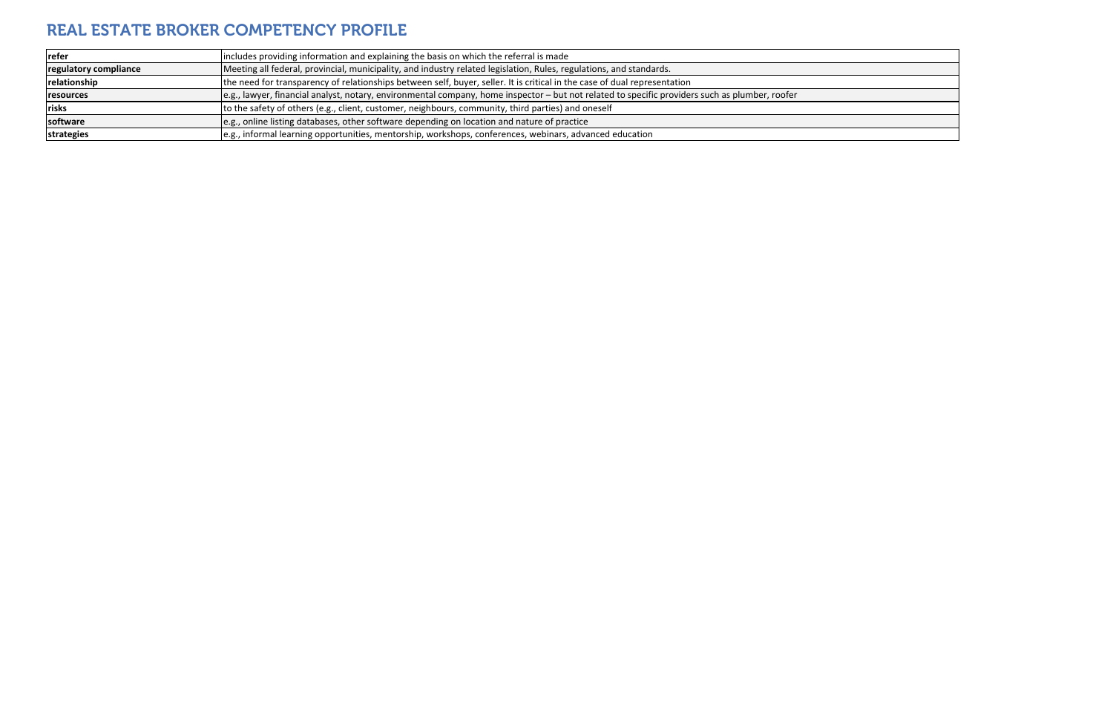| refer                 | includes providing information and explaining the basis on which the referral is made                                                          |
|-----------------------|------------------------------------------------------------------------------------------------------------------------------------------------|
| regulatory compliance | Meeting all federal, provincial, municipality, and industry related legislation, Rules, regulations, and standards.                            |
| relationship          | the need for transparency of relationships between self, buyer, seller. It is critical in the case of dual representation                      |
| resources             | e.g., lawyer, financial analyst, notary, environmental company, home inspector – but not related to specific providers such as plumber, roofer |
| <b>risks</b>          | to the safety of others (e.g., client, customer, neighbours, community, third parties) and oneself                                             |
| software              | e.g., online listing databases, other software depending on location and nature of practice                                                    |
| strategies            | le.g., informal learning opportunities, mentorship, workshops, conferences, webinars, advanced education                                       |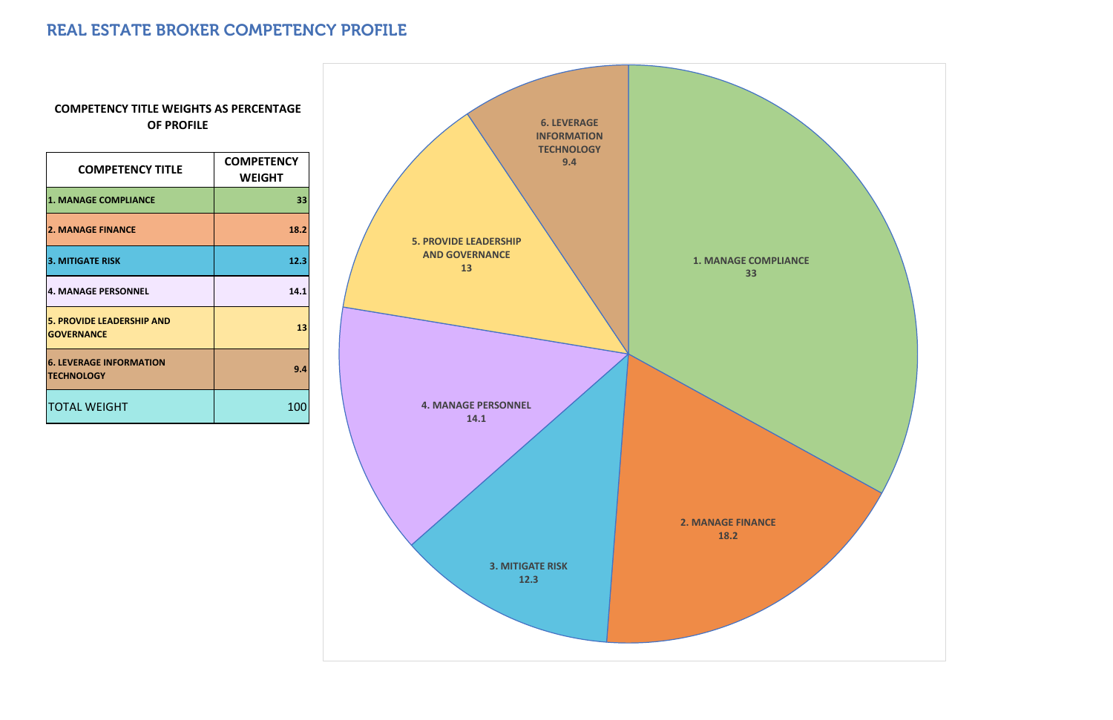| <b>COMPETENCY TITLE</b>                               | <b>COMPETENCY</b><br><b>WEIGHT</b> |
|-------------------------------------------------------|------------------------------------|
| <b>1. MANAGE COMPLIANCE</b>                           | 33                                 |
| <b>2. MANAGE FINANCE</b>                              | 18.2                               |
| <b>3. MITIGATE RISK</b>                               | 12.3                               |
| <b>4. MANAGE PERSONNEL</b>                            | 14.1                               |
| <b>5. PROVIDE LEADERSHIP AND</b><br><b>GOVERNANCE</b> | 13                                 |
| <b>6. LEVERAGE INFORMATION</b><br><b>TECHNOLOGY</b>   | 9.4                                |
| <b>TOTAL WEIGHT</b>                                   | <b>10</b>                          |

#### **COMPETENCY TITLE WEIGHTS AS PERCENTAGE OF PROFILE**

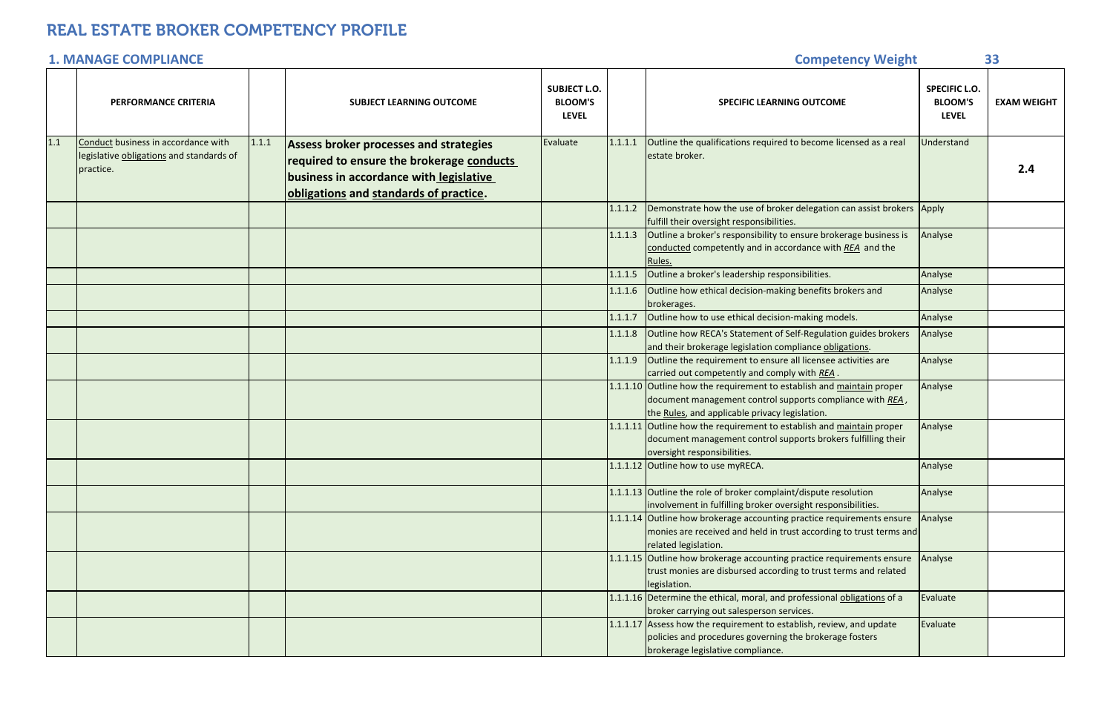|     | <b>PERFORMANCE CRITERIA</b>                                                                  |       | <b>SUBJECT LEARNING OUTCOME</b>                                                                                                                                                 | <b>SUBJECT L.O.</b><br><b>BLOOM'S</b><br><b>LEVEL</b> |         | <b>SPECIFIC LEARNING OUTCOME</b>                                                                                                                                                     | <b>SPECIFIC L.O.</b><br><b>BLOOM'S</b><br><b>LEVEL</b> | <b>EXAM WEIGHT</b> |
|-----|----------------------------------------------------------------------------------------------|-------|---------------------------------------------------------------------------------------------------------------------------------------------------------------------------------|-------------------------------------------------------|---------|--------------------------------------------------------------------------------------------------------------------------------------------------------------------------------------|--------------------------------------------------------|--------------------|
| 1.1 | Conduct business in accordance with<br>legislative obligations and standards of<br>practice. | 1.1.1 | <b>Assess broker processes and strategies</b><br>required to ensure the brokerage conducts<br>business in accordance with legislative<br>obligations and standards of practice. | Evaluate                                              | 1.1.1.1 | Outline the qualifications required to become licensed as a real<br>estate broker.                                                                                                   | <b>Jnderstand</b>                                      | 2.4                |
|     |                                                                                              |       |                                                                                                                                                                                 |                                                       | 1.1.1.2 | Demonstrate how the use of broker delegation can assist brokers Apply<br>fulfill their oversight responsibilities.                                                                   |                                                        |                    |
|     |                                                                                              |       |                                                                                                                                                                                 |                                                       | 1.1.1.3 | Outline a broker's responsibility to ensure brokerage business is<br>conducted competently and in accordance with REA and the<br>Rules.                                              | Analyse                                                |                    |
|     |                                                                                              |       |                                                                                                                                                                                 |                                                       | 1.1.1.5 | Outline a broker's leadership responsibilities.                                                                                                                                      | Analyse                                                |                    |
|     |                                                                                              |       |                                                                                                                                                                                 |                                                       | 1.1.1.6 | Outline how ethical decision-making benefits brokers and<br>brokerages.                                                                                                              | Analyse                                                |                    |
|     |                                                                                              |       |                                                                                                                                                                                 |                                                       | 1.1.1.7 | Outline how to use ethical decision-making models.                                                                                                                                   | Analyse                                                |                    |
|     |                                                                                              |       |                                                                                                                                                                                 |                                                       | 1.1.1.8 | Outline how RECA's Statement of Self-Regulation guides brokers<br>and their brokerage legislation compliance obligations.                                                            | Analyse                                                |                    |
|     |                                                                                              |       |                                                                                                                                                                                 |                                                       | 1.1.1.9 | Outline the requirement to ensure all licensee activities are<br>carried out competently and comply with REA.                                                                        | Analyse                                                |                    |
|     |                                                                                              |       |                                                                                                                                                                                 |                                                       |         | 1.1.1.10 Outline how the requirement to establish and maintain proper<br>document management control supports compliance with REA,<br>the Rules, and applicable privacy legislation. | Analyse                                                |                    |
|     |                                                                                              |       |                                                                                                                                                                                 |                                                       |         | 1.1.1.11 Outline how the requirement to establish and maintain proper<br>document management control supports brokers fulfilling their<br>oversight responsibilities.                | Analyse                                                |                    |
|     |                                                                                              |       |                                                                                                                                                                                 |                                                       |         | 1.1.1.12 Outline how to use myRECA.                                                                                                                                                  | Analyse                                                |                    |
|     |                                                                                              |       |                                                                                                                                                                                 |                                                       |         | 1.1.1.13 Outline the role of broker complaint/dispute resolution<br>involvement in fulfilling broker oversight responsibilities.                                                     | Analyse                                                |                    |
|     |                                                                                              |       |                                                                                                                                                                                 |                                                       |         | 1.1.1.14 Outline how brokerage accounting practice requirements ensure<br>monies are received and held in trust according to trust terms and<br>related legislation.                 | Analyse                                                |                    |
|     |                                                                                              |       |                                                                                                                                                                                 |                                                       |         | 1.1.1.15 Outline how brokerage accounting practice requirements ensure<br>trust monies are disbursed according to trust terms and related<br>legislation.                            | Analyse                                                |                    |
|     |                                                                                              |       |                                                                                                                                                                                 |                                                       |         | 1.1.1.16 Determine the ethical, moral, and professional obligations of a<br>broker carrying out salesperson services.                                                                | Evaluate                                               |                    |
|     |                                                                                              |       |                                                                                                                                                                                 |                                                       |         | 1.1.1.17 Assess how the requirement to establish, review, and update<br>policies and procedures governing the brokerage fosters<br>brokerage legislative compliance.                 | Evaluate                                               |                    |

#### **Competency Weight COMPLIANCE 33**

#### **1. MANAGE**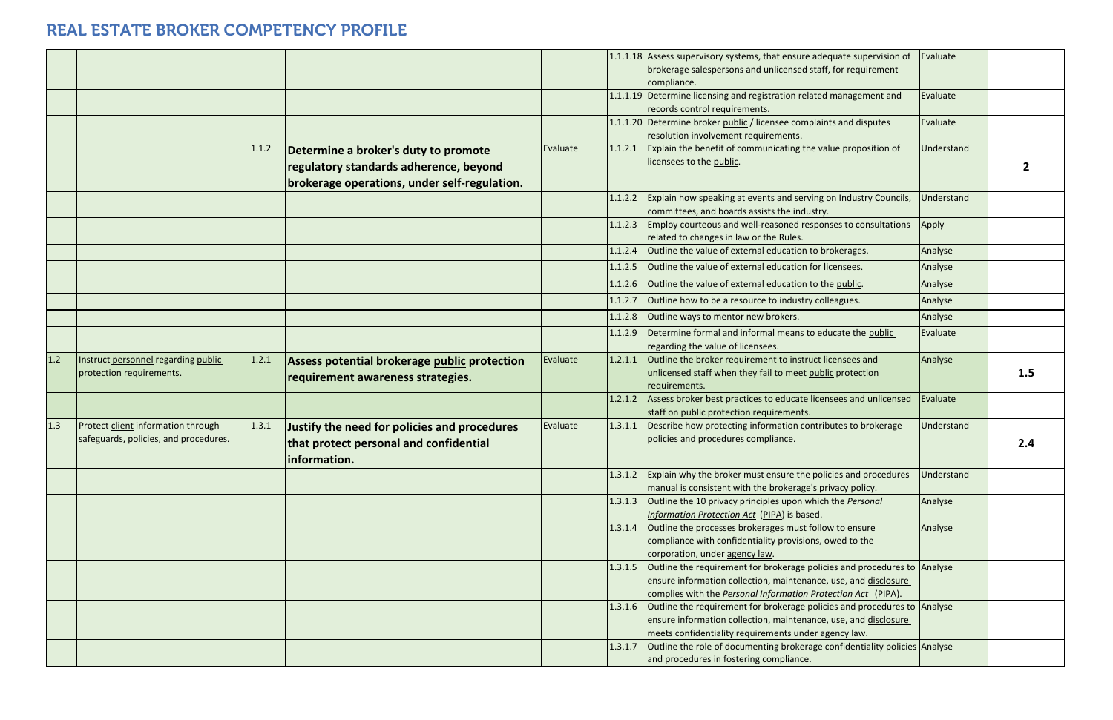|       |                                                                             |       |                                                                                                                                |          |         | 1.1.1.18 Assess supervisory systems, that ensure adequate supervision of<br>brokerage salespersons and unlicensed staff, for requirement<br>compliance.                                                             | Evaluate          |     |
|-------|-----------------------------------------------------------------------------|-------|--------------------------------------------------------------------------------------------------------------------------------|----------|---------|---------------------------------------------------------------------------------------------------------------------------------------------------------------------------------------------------------------------|-------------------|-----|
|       |                                                                             |       |                                                                                                                                |          |         | 1.1.1.19 Determine licensing and registration related management and<br>records control requirements.                                                                                                               | Evaluate          |     |
|       |                                                                             |       |                                                                                                                                |          |         | 1.1.1.20 Determine broker public / licensee complaints and disputes<br>resolution involvement requirements.                                                                                                         | Evaluate          |     |
|       |                                                                             | 1.1.2 | Determine a broker's duty to promote<br>regulatory standards adherence, beyond<br>brokerage operations, under self-regulation. | Evaluate | 1.1.2.1 | Explain the benefit of communicating the value proposition of<br>licensees to the public.                                                                                                                           | Understand        |     |
|       |                                                                             |       |                                                                                                                                |          | 1.1.2.2 | Explain how speaking at events and serving on Industry Councils,<br>committees, and boards assists the industry.                                                                                                    | <b>Jnderstand</b> |     |
|       |                                                                             |       |                                                                                                                                |          | 1.1.2.3 | Employ courteous and well-reasoned responses to consultations<br>related to changes in law or the Rules.                                                                                                            | Apply             |     |
|       |                                                                             |       |                                                                                                                                |          | 1.1.2.4 | Outline the value of external education to brokerages.                                                                                                                                                              | Analyse           |     |
|       |                                                                             |       |                                                                                                                                |          | 1.1.2.5 | Outline the value of external education for licensees.                                                                                                                                                              | Analyse           |     |
|       |                                                                             |       |                                                                                                                                |          | 1.1.2.6 | Outline the value of external education to the public.                                                                                                                                                              | Analyse           |     |
|       |                                                                             |       |                                                                                                                                |          | 1.1.2.7 | Outline how to be a resource to industry colleagues.                                                                                                                                                                | Analyse           |     |
|       |                                                                             |       |                                                                                                                                |          | 1.1.2.8 | Outline ways to mentor new brokers.                                                                                                                                                                                 | Analyse           |     |
|       |                                                                             |       |                                                                                                                                |          | 1.1.2.9 | Determine formal and informal means to educate the public<br>regarding the value of licensees.                                                                                                                      | Evaluate          |     |
| $1.2$ | Instruct personnel regarding public<br>protection requirements.             | 1.2.1 | Assess potential brokerage public protection<br>requirement awareness strategies.                                              | Evaluate | 1.2.1.1 | Outline the broker requirement to instruct licensees and<br>unlicensed staff when they fail to meet public protection                                                                                               | Analyse           | 1.5 |
|       |                                                                             |       |                                                                                                                                |          |         | requirements.                                                                                                                                                                                                       |                   |     |
|       |                                                                             |       |                                                                                                                                |          | 1.2.1.2 | Assess broker best practices to educate licensees and unlicensed<br>staff on public protection requirements.                                                                                                        | Evaluate          |     |
| 1.3   | Protect client information through<br>safeguards, policies, and procedures. | 1.3.1 | Justify the need for policies and procedures<br>that protect personal and confidential<br>information.                         | Evaluate | 1.3.1.1 | Describe how protecting information contributes to brokerage<br>policies and procedures compliance.                                                                                                                 | <b>Jnderstand</b> | 2.4 |
|       |                                                                             |       |                                                                                                                                |          | 1.3.1.2 | Explain why the broker must ensure the policies and procedures<br>manual is consistent with the brokerage's privacy policy.                                                                                         | <b>Jnderstand</b> |     |
|       |                                                                             |       |                                                                                                                                |          | 1.3.1.3 | Outline the 10 privacy principles upon which the <b>Personal</b><br>Information Protection Act (PIPA) is based.                                                                                                     | Analyse           |     |
|       |                                                                             |       |                                                                                                                                |          |         | 1.3.1.4 Outline the processes brokerages must follow to ensure<br>compliance with confidentiality provisions, owed to the<br>corporation, under agency law.                                                         | Analyse           |     |
|       |                                                                             |       |                                                                                                                                |          | 1.3.1.5 | Outline the requirement for brokerage policies and procedures to Analyse<br>ensure information collection, maintenance, use, and disclosure<br>complies with the <b>Personal Information Protection Act</b> (PIPA). |                   |     |
|       |                                                                             |       |                                                                                                                                |          | 1.3.1.6 | Outline the requirement for brokerage policies and procedures to Analyse<br>ensure information collection, maintenance, use, and disclosure<br>meets confidentiality requirements under agency law.                 |                   |     |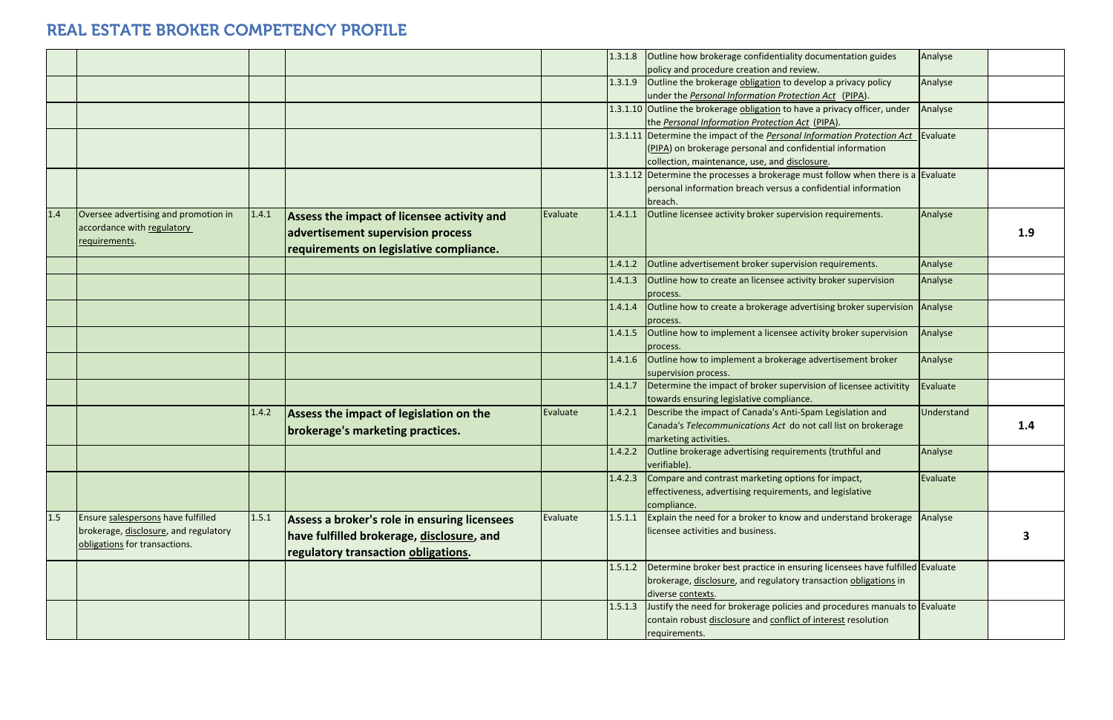|     |                                                                                                              |       |                                                                                                                                  |          | 1.3.1.8 | Outline how brokerage confidentiality documentation guides<br>policy and procedure creation and review.                                                                                       | Analyse |
|-----|--------------------------------------------------------------------------------------------------------------|-------|----------------------------------------------------------------------------------------------------------------------------------|----------|---------|-----------------------------------------------------------------------------------------------------------------------------------------------------------------------------------------------|---------|
|     |                                                                                                              |       |                                                                                                                                  |          | 1.3.1.9 | Outline the brokerage obligation to develop a privacy policy<br>under the Personal Information Protection Act (PIPA).                                                                         | Analyse |
|     |                                                                                                              |       |                                                                                                                                  |          |         | 1.3.1.10 Outline the brokerage obligation to have a privacy officer, under<br>the Personal Information Protection Act (PIPA).                                                                 | Analyse |
|     |                                                                                                              |       |                                                                                                                                  |          |         | 1.3.1.11 Determine the impact of the <b>Personal Information Protection Act</b><br>(PIPA) on brokerage personal and confidential information<br>collection, maintenance, use, and disclosure. | Evaluat |
|     |                                                                                                              |       |                                                                                                                                  |          |         | 1.3.1.12 Determine the processes a brokerage must follow when there is a<br>personal information breach versus a confidential information<br>breach.                                          | Evaluat |
| 1.4 | Oversee advertising and promotion in<br>accordance with regulatory<br>requirements.                          | 1.4.1 | Assess the impact of licensee activity and<br>advertisement supervision process<br>requirements on legislative compliance.       | Evaluate | 1.4.1.1 | Outline licensee activity broker supervision requirements.                                                                                                                                    | Analyse |
|     |                                                                                                              |       |                                                                                                                                  |          | 1.4.1.2 | Outline advertisement broker supervision requirements.                                                                                                                                        | Analyse |
|     |                                                                                                              |       |                                                                                                                                  |          | 1.4.1.3 | Outline how to create an licensee activity broker supervision<br>process.                                                                                                                     | Analyse |
|     |                                                                                                              |       |                                                                                                                                  |          | 1.4.1.4 | Outline how to create a brokerage advertising broker supervision<br>process.                                                                                                                  | Analyse |
|     |                                                                                                              |       |                                                                                                                                  |          | 1.4.1.5 | Outline how to implement a licensee activity broker supervision<br>process.                                                                                                                   | Analyse |
|     |                                                                                                              |       |                                                                                                                                  |          | 1.4.1.6 | Outline how to implement a brokerage advertisement broker<br>supervision process.                                                                                                             | Analyse |
|     |                                                                                                              |       |                                                                                                                                  |          | 1.4.1.7 | Determine the impact of broker supervision of licensee activitity<br>towards ensuring legislative compliance.                                                                                 | Evaluat |
|     |                                                                                                              | 1.4.2 | Assess the impact of legislation on the<br>brokerage's marketing practices.                                                      | Evaluate | 1.4.2.1 | Describe the impact of Canada's Anti-Spam Legislation and<br>Canada's Telecommunications Act do not call list on brokerage<br>marketing activities.                                           | Underst |
|     |                                                                                                              |       |                                                                                                                                  |          | 1.4.2.2 | Outline brokerage advertising requirements (truthful and<br>verifiable).                                                                                                                      | Analyse |
|     |                                                                                                              |       |                                                                                                                                  |          | 1.4.2.3 | Compare and contrast marketing options for impact,<br>effectiveness, advertising requirements, and legislative<br>compliance.                                                                 | Evaluat |
| 1.5 | Ensure salespersons have fulfilled<br>brokerage, disclosure, and regulatory<br>obligations for transactions. | 1.5.1 | Assess a broker's role in ensuring licensees<br>have fulfilled brokerage, disclosure, and<br>regulatory transaction obligations. | Evaluate | 1.5.1.1 | Explain the need for a broker to know and understand brokerage<br>licensee activities and business.                                                                                           | Analyse |
|     |                                                                                                              |       |                                                                                                                                  |          | 1.5.1.2 | Determine broker best practice in ensuring licensees have fulfilled Evaluat<br>brokerage, disclosure, and regulatory transaction obligations in<br>diverse contexts.                          |         |
|     |                                                                                                              |       |                                                                                                                                  |          | 1.5.1.3 | Justify the need for brokerage policies and procedures manuals to Evaluat<br>contain robust disclosure and conflict of interest resolution<br>requirements.                                   |         |

| ty documentation guides<br>eview.                            | Analyse    |     |
|--------------------------------------------------------------|------------|-----|
| develop a privacy policy                                     | Analyse    |     |
| ection Act (PIPA).                                           |            |     |
| have a privacy officer, under<br><u>Act</u> ( <u>PIPA</u> ). | Analyse    |     |
| al Information Protection Act                                | Evaluate   |     |
| Infidential information                                      |            |     |
| sclosure.                                                    |            |     |
| e must follow when there is a                                | Evaluate   |     |
| a confidential information                                   |            |     |
|                                                              |            |     |
| rvision requirements.                                        | Analyse    |     |
|                                                              |            | 1.9 |
| vision requirements.                                         | Analyse    |     |
| tivity broker supervision                                    | Analyse    |     |
| dvertising broker supervision                                | Analyse    |     |
| e activity broker supervision                                | Analyse    |     |
| ge advertisement broker                                      | Analyse    |     |
| ervision of licensee activitity<br>nce.                      | Evaluate   |     |
| i-Spam Legislation and                                       | Understand |     |
| o not call list on brokerage                                 |            | 1.4 |
| ements (truthful and                                         | Analyse    |     |
| tions for impact,                                            | Evaluate   |     |
| nts, and legislative                                         |            |     |
| w and understand brokerage                                   | Analyse    |     |
|                                                              |            | 3   |
| Isuring licensees have fulfilled                             | Evaluate   |     |
| y transaction <b>obligations</b> in                          |            |     |
| es and procedures manuals to Evaluate                        |            |     |
| t of interest resolution                                     |            |     |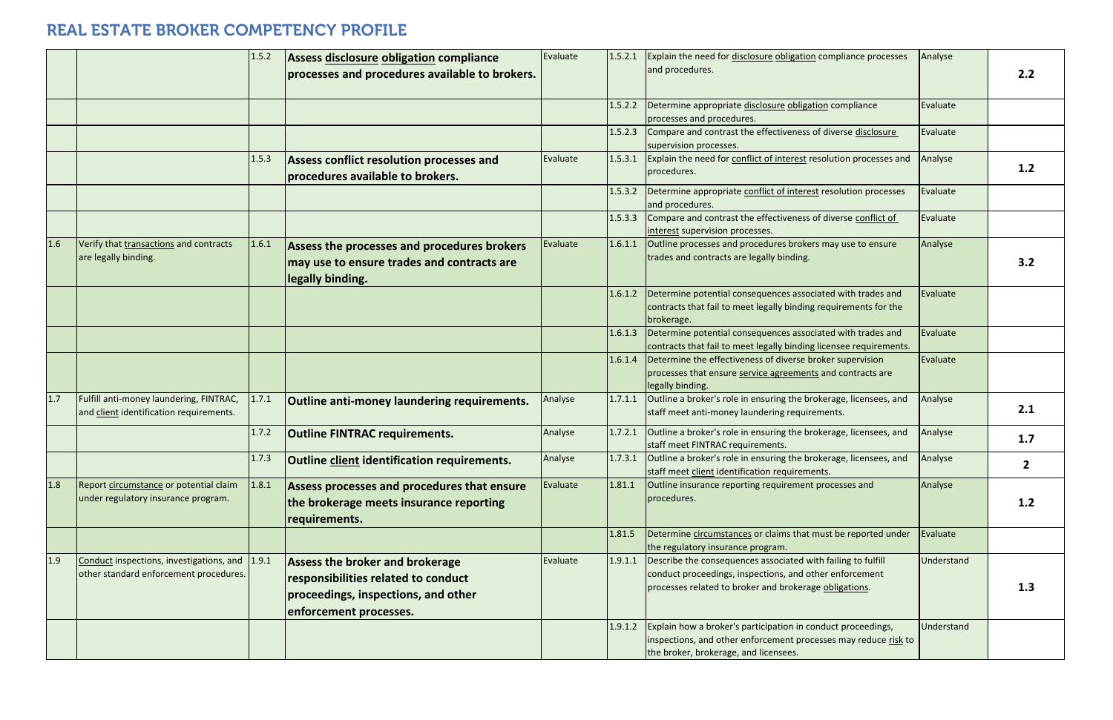|       |                                                                                          | 1.5.2 | Assess disclosure obligation compliance                                                                                                        | Evaluate | 1.5.2.1 | Explain the need for disclosure obligation compliance processes                                                                                                                   | Analyse        |     |
|-------|------------------------------------------------------------------------------------------|-------|------------------------------------------------------------------------------------------------------------------------------------------------|----------|---------|-----------------------------------------------------------------------------------------------------------------------------------------------------------------------------------|----------------|-----|
|       |                                                                                          |       | processes and procedures available to brokers.                                                                                                 |          |         | and procedures.                                                                                                                                                                   |                | 2.2 |
|       |                                                                                          |       |                                                                                                                                                |          | 1.5.2.2 | Determine appropriate disclosure obligation compliance<br>processes and procedures.                                                                                               | Evaluate       |     |
|       |                                                                                          |       |                                                                                                                                                |          | 1.5.2.3 | Compare and contrast the effectiveness of diverse disclosure<br>supervision processes.                                                                                            | Evaluate       |     |
|       |                                                                                          | 1.5.3 | Assess conflict resolution processes and<br>procedures available to brokers.                                                                   | Evaluate | 1.5.3.1 | Explain the need for conflict of interest resolution processes and<br>procedures.                                                                                                 | Analyse        | 1.2 |
|       |                                                                                          |       |                                                                                                                                                |          | 1.5.3.2 | Determine appropriate conflict of interest resolution processes<br>and procedures.                                                                                                | Evaluate       |     |
|       |                                                                                          |       |                                                                                                                                                |          | 1.5.3.3 | Compare and contrast the effectiveness of diverse conflict of<br>interest supervision processes.                                                                                  | Evaluate       |     |
| 1.6   | Verify that transactions and contracts<br>are legally binding.                           | 1.6.1 | Assess the processes and procedures brokers<br>may use to ensure trades and contracts are<br>legally binding.                                  | Evaluate | 1.6.1.1 | Outline processes and procedures brokers may use to ensure<br>trades and contracts are legally binding.                                                                           | Analyse        | 3.2 |
|       |                                                                                          |       |                                                                                                                                                |          | 1.6.1.2 | Determine potential consequences associated with trades and<br>contracts that fail to meet legally binding requirements for the<br>brokerage.                                     | Evaluate       |     |
|       |                                                                                          |       |                                                                                                                                                |          | 1.6.1.3 | Determine potential consequences associated with trades and<br>contracts that fail to meet legally binding licensee requirements.                                                 | Evaluate       |     |
|       |                                                                                          |       |                                                                                                                                                |          | 1.6.1.4 | Determine the effectiveness of diverse broker supervision<br>processes that ensure service agreements and contracts are<br>legally binding.                                       | Evaluate       |     |
| $1.7$ | Fulfill anti-money laundering, FINTRAC,<br>and client identification requirements.       | 1.7.1 | Outline anti-money laundering requirements.                                                                                                    | Analyse  | 1.7.1.1 | Outline a broker's role in ensuring the brokerage, licensees, and<br>staff meet anti-money laundering requirements.                                                               | Analyse        | 2.1 |
|       |                                                                                          | 1.7.2 | <b>Outline FINTRAC requirements.</b>                                                                                                           | Analyse  | 1.7.2.1 | Outline a broker's role in ensuring the brokerage, licensees, and<br>staff meet FINTRAC requirements.                                                                             | Analyse        | 1.7 |
|       |                                                                                          | 1.7.3 | Outline client identification requirements.                                                                                                    | Analyse  |         | 1.7.3.1 Outline a broker's role in ensuring the brokerage, licensees, and<br>staff meet client identification requirements.                                                       | <b>Analyse</b> | 2   |
| 1.8   | Report circumstance or potential claim<br>under regulatory insurance program.            | 1.8.1 | Assess processes and procedures that ensure<br>the brokerage meets insurance reporting<br>requirements.                                        | Evaluate | 1.81.1  | Outline insurance reporting requirement processes and<br>procedures.                                                                                                              | Analyse        | 1.2 |
|       |                                                                                          |       |                                                                                                                                                |          | 1.81.5  | Determine circumstances or claims that must be reported under<br>the regulatory insurance program.                                                                                | Evaluate       |     |
| 1.9   | Conduct inspections, investigations, and 1.9.1<br>other standard enforcement procedures. |       | <b>Assess the broker and brokerage</b><br>responsibilities related to conduct<br>proceedings, inspections, and other<br>enforcement processes. | Evaluate | 1.9.1.1 | Describe the consequences associated with failing to fulfill<br>conduct proceedings, inspections, and other enforcement<br>processes related to broker and brokerage obligations. | Understand     | 1.3 |
|       |                                                                                          |       |                                                                                                                                                |          | 1.9.1.2 | Explain how a broker's participation in conduct proceedings,<br>inspections, and other enforcement processes may reduce risk to<br>the broker, brokerage, and licensees.          | Understand     |     |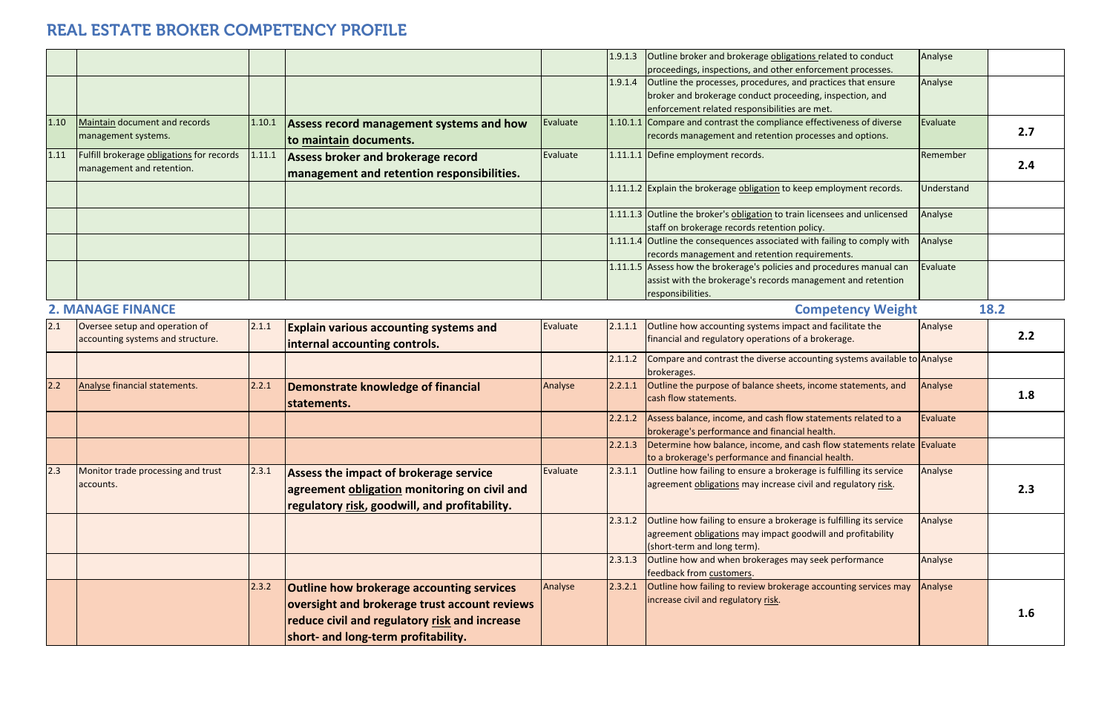|      |                                           |        |                                                  |          | 1.9.1.3 | Outline broker and brokerage obligations related to conduct                      | Analyse           |      |
|------|-------------------------------------------|--------|--------------------------------------------------|----------|---------|----------------------------------------------------------------------------------|-------------------|------|
|      |                                           |        |                                                  |          |         | proceedings, inspections, and other enforcement processes.                       |                   |      |
|      |                                           |        |                                                  |          | 1.9.1.4 | Outline the processes, procedures, and practices that ensure                     | Analyse           |      |
|      |                                           |        |                                                  |          |         | broker and brokerage conduct proceeding, inspection, and                         |                   |      |
|      |                                           |        |                                                  |          |         | enforcement related responsibilities are met.                                    |                   |      |
| 1.10 | Maintain document and records             | 1.10.1 | Assess record management systems and how         | Evaluate |         | 1.10.1.1 Compare and contrast the compliance effectiveness of diverse            | Evaluate          | 2.7  |
|      | management systems.                       |        | to maintain documents.                           |          |         | records management and retention processes and options.                          |                   |      |
| 1.11 | Fulfill brokerage obligations for records | 1.11.1 | Assess broker and brokerage record               | Evaluate |         | 1.11.1.1 Define employment records.                                              | Remember          |      |
|      | management and retention.                 |        | management and retention responsibilities.       |          |         |                                                                                  |                   | 2.4  |
|      |                                           |        |                                                  |          |         | 1.11.1.2 Explain the brokerage obligation to keep employment records.            | <b>Jnderstand</b> |      |
|      |                                           |        |                                                  |          |         |                                                                                  |                   |      |
|      |                                           |        |                                                  |          |         | 1.11.1.3 Outline the broker's obligation to train licensees and unlicensed       | Analyse           |      |
|      |                                           |        |                                                  |          |         | staff on brokerage records retention policy.                                     |                   |      |
|      |                                           |        |                                                  |          |         | 1.11.1.4 Outline the consequences associated with failing to comply with         | Analyse           |      |
|      |                                           |        |                                                  |          |         | records management and retention requirements.                                   |                   |      |
|      |                                           |        |                                                  |          |         | 1.11.1.5 Assess how the brokerage's policies and procedures manual can           | Evaluate          |      |
|      |                                           |        |                                                  |          |         | assist with the brokerage's records management and retention                     |                   |      |
|      |                                           |        |                                                  |          |         | responsibilities.                                                                |                   |      |
|      | <b>2. MANAGE FINANCE</b>                  |        |                                                  |          |         | <b>Competency Weight</b>                                                         |                   | 18.2 |
| 2.1  | Oversee setup and operation of            | 2.1.1  | <b>Explain various accounting systems and</b>    | Evaluate | 2.1.1.1 | Outline how accounting systems impact and facilitate the                         | Analyse           |      |
|      | accounting systems and structure.         |        | internal accounting controls.                    |          |         | financial and regulatory operations of a brokerage.                              |                   | 2.2  |
|      |                                           |        |                                                  |          | 2.1.1.2 | Compare and contrast the diverse accounting systems available to Analyse         |                   |      |
|      |                                           |        |                                                  |          |         | brokerages.                                                                      |                   |      |
| 2.2  | Analyse financial statements.             | 2.2.1  | Demonstrate knowledge of financial               | Analyse  | 2.2.1.1 | Outline the purpose of balance sheets, income statements, and                    | Analyse           |      |
|      |                                           |        | statements.                                      |          |         | cash flow statements.                                                            |                   | 1.8  |
|      |                                           |        |                                                  |          | 2.2.1.2 | Assess balance, income, and cash flow statements related to a                    | Evaluate          |      |
|      |                                           |        |                                                  |          |         | brokerage's performance and financial health.                                    |                   |      |
|      |                                           |        |                                                  |          | 2.2.1.3 | Determine how balance, income, and cash flow statements relate Evaluate          |                   |      |
|      |                                           |        |                                                  |          |         | to a brokerage's performance and financial health.                               |                   |      |
| 2.3  | Monitor trade processing and trust        | 2.3.1  | Assess the impact of brokerage service           | Evaluate | 2.3.1.1 | Outline how failing to ensure a brokerage is fulfilling its service              | Analyse           |      |
|      | accounts.                                 |        | agreement obligation monitoring on civil and     |          |         | agreement obligations may increase civil and regulatory risk.                    |                   | 2.3  |
|      |                                           |        |                                                  |          |         |                                                                                  |                   |      |
|      |                                           |        | regulatory risk, goodwill, and profitability.    |          |         |                                                                                  |                   |      |
|      |                                           |        |                                                  |          | 2.3.1.2 | Outline how failing to ensure a brokerage is fulfilling its service              | Analyse           |      |
|      |                                           |        |                                                  |          |         | agreement obligations may impact goodwill and profitability                      |                   |      |
|      |                                           |        |                                                  |          |         | (short-term and long term).                                                      |                   |      |
|      |                                           |        |                                                  |          | 2.3.1.3 | Outline how and when brokerages may seek performance<br>feedback from customers. | Analyse           |      |
|      |                                           | 2.3.2  | <b>Outline how brokerage accounting services</b> | Analyse  | 2.3.2.1 | Outline how failing to review brokerage accounting services may                  | Analyse           |      |
|      |                                           |        |                                                  |          |         | increase civil and regulatory risk.                                              |                   |      |
|      |                                           |        | oversight and brokerage trust account reviews    |          |         |                                                                                  |                   | 1.6  |
|      |                                           |        | reduce civil and regulatory risk and increase    |          |         |                                                                                  |                   |      |
|      |                                           |        | short- and long-term profitability.              |          |         |                                                                                  |                   |      |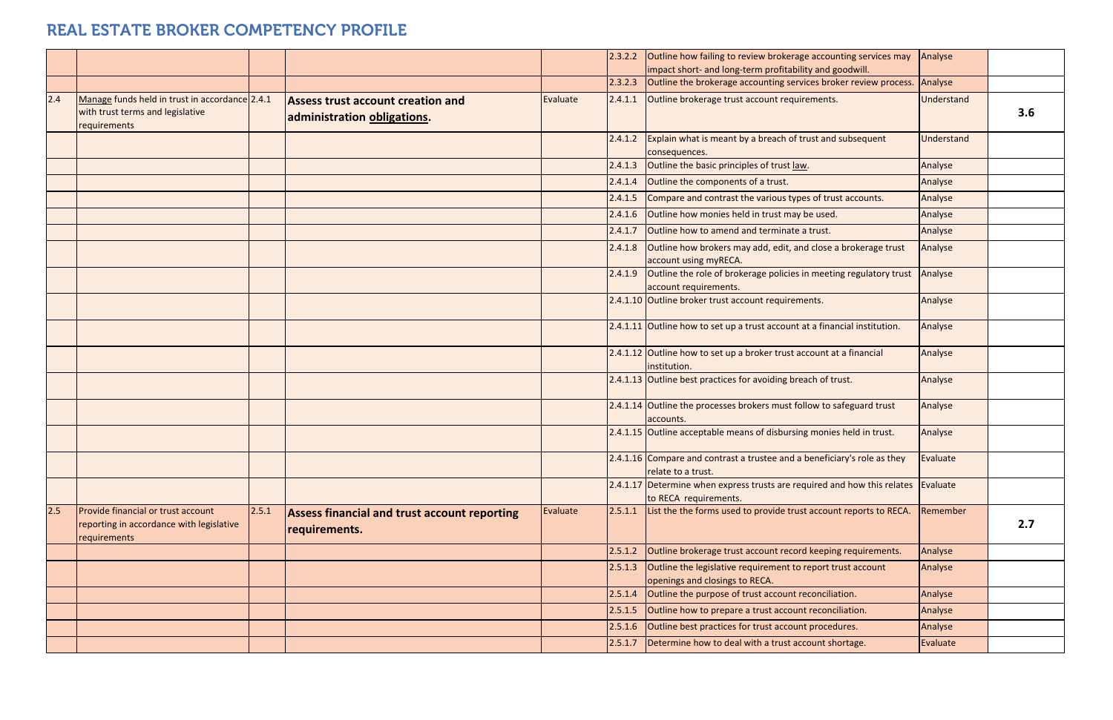|     |                                                                                                    |       |                                                                         |          | 2.3.2.2 | Outline how failing to review brokerage accounting services may<br>impact short- and long-term profitability and goodwill. | Analyse        |
|-----|----------------------------------------------------------------------------------------------------|-------|-------------------------------------------------------------------------|----------|---------|----------------------------------------------------------------------------------------------------------------------------|----------------|
|     |                                                                                                    |       |                                                                         |          | 2.3.2.3 | Outline the brokerage accounting services broker review process.                                                           | Analyse        |
| 2.4 | Manage funds held in trust in accordance 2.4.1<br>with trust terms and legislative<br>requirements |       | <b>Assess trust account creation and</b><br>administration obligations. | Evaluate | 2.4.1.1 | Outline brokerage trust account requirements.                                                                              | Unders         |
|     |                                                                                                    |       |                                                                         |          | 2.4.1.2 | Explain what is meant by a breach of trust and subsequent<br>consequences.                                                 | Unders         |
|     |                                                                                                    |       |                                                                         |          | 2.4.1.3 | Outline the basic principles of trust law.                                                                                 | Analyse        |
|     |                                                                                                    |       |                                                                         |          | 2.4.1.4 | Outline the components of a trust.                                                                                         | Analyse        |
|     |                                                                                                    |       |                                                                         |          | 2.4.1.5 | Compare and contrast the various types of trust accounts.                                                                  | Analyse        |
|     |                                                                                                    |       |                                                                         |          | 2.4.1.6 | Outline how monies held in trust may be used.                                                                              | Analyse        |
|     |                                                                                                    |       |                                                                         |          | 2.4.1.7 | Outline how to amend and terminate a trust.                                                                                | Analyse        |
|     |                                                                                                    |       |                                                                         |          | 2.4.1.8 | Outline how brokers may add, edit, and close a brokerage trust<br>account using myRECA.                                    | Analyse        |
|     |                                                                                                    |       |                                                                         |          | 2.4.1.9 | Outline the role of brokerage policies in meeting regulatory trust<br>account requirements.                                | Analyse        |
|     |                                                                                                    |       |                                                                         |          |         | 2.4.1.10 Outline broker trust account requirements.                                                                        | Analyse        |
|     |                                                                                                    |       |                                                                         |          |         | 2.4.1.11 Outline how to set up a trust account at a financial institution.                                                 | Analyse        |
|     |                                                                                                    |       |                                                                         |          |         | 2.4.1.12 Outline how to set up a broker trust account at a financial<br>institution.                                       | Analyse        |
|     |                                                                                                    |       |                                                                         |          |         | 2.4.1.13 Outline best practices for avoiding breach of trust.                                                              | Analyse        |
|     |                                                                                                    |       |                                                                         |          |         | 2.4.1.14 Outline the processes brokers must follow to safeguard trust<br>accounts.                                         | Analyse        |
|     |                                                                                                    |       |                                                                         |          |         | 2.4.1.15 Outline acceptable means of disbursing monies held in trust.                                                      | Analyse        |
|     |                                                                                                    |       |                                                                         |          |         | 2.4.1.16 Compare and contrast a trustee and a beneficiary's role as they<br>relate to a trust.                             | Evaluat        |
|     |                                                                                                    |       |                                                                         |          |         | 2.4.1.17 Determine when express trusts are required and how this relates<br>to RECA requirements.                          | Evaluat        |
| 2.5 | Provide financial or trust account<br>reporting in accordance with legislative<br>requirements     | 2.5.1 | <b>Assess financial and trust account reporting</b><br>requirements.    | Evaluate | 2.5.1.1 | List the the forms used to provide trust account reports to RECA.                                                          | Remem          |
|     |                                                                                                    |       |                                                                         |          | 2.5.1.2 | Outline brokerage trust account record keeping requirements.                                                               | Analyse        |
|     |                                                                                                    |       |                                                                         |          | 2.5.1.3 | Outline the legislative requirement to report trust account<br>openings and closings to RECA.                              | Analyse        |
|     |                                                                                                    |       |                                                                         |          | 2.5.1.4 | Outline the purpose of trust account reconciliation.                                                                       | Analyse        |
|     |                                                                                                    |       |                                                                         |          | 2.5.1.5 | Outline how to prepare a trust account reconciliation.                                                                     | Analyse        |
|     |                                                                                                    |       |                                                                         |          | 2.5.1.6 | Outline best practices for trust account procedures.                                                                       | Analyse        |
|     |                                                                                                    |       |                                                                         |          | 2.5.1.7 | Determine how to deal with a trust account shortage.                                                                       | <b>Evaluat</b> |

| e how failing to review brokerage accounting services may<br>t short- and long-term profitability and goodwill. | Analyse    |     |
|-----------------------------------------------------------------------------------------------------------------|------------|-----|
| e the brokerage accounting services broker review process.                                                      | Analyse    |     |
| e brokerage trust account requirements.                                                                         | Understand | 3.6 |
| n what is meant by a breach of trust and subsequent<br>quences.                                                 | Understand |     |
| e the basic principles of trust law.                                                                            | Analyse    |     |
| e the components of a trust.                                                                                    | Analyse    |     |
| are and contrast the various types of trust accounts.                                                           | Analyse    |     |
| e how monies held in trust may be used.                                                                         | Analyse    |     |
| e how to amend and terminate a trust.                                                                           | Analyse    |     |
| e how brokers may add, edit, and close a brokerage trust<br>nt using myRECA.                                    | Analyse    |     |
| e the role of brokerage policies in meeting regulatory trust<br>nt requirements.                                | Analyse    |     |
| e broker trust account requirements.                                                                            | Analyse    |     |
| e how to set up a trust account at a financial institution.                                                     | Analyse    |     |
| e how to set up a broker trust account at a financial<br>tion.                                                  | Analyse    |     |
| e best practices for avoiding breach of trust.                                                                  | Analyse    |     |
| e the processes brokers must follow to safeguard trust<br>nts.                                                  | Analyse    |     |
| e acceptable means of disbursing monies held in trust.                                                          | Analyse    |     |
| are and contrast a trustee and a beneficiary's role as they<br>to a trust.                                      | Evaluate   |     |
| mine when express trusts are required and how this relates<br>A requirements.                                   | Evaluate   |     |
| e the forms used to provide trust account reports to RECA.                                                      | Remember   | 2.7 |
| e brokerage trust account record keeping requirements.                                                          | Analyse    |     |
| e the legislative requirement to report trust account<br>ngs and closings to RECA.                              | Analyse    |     |
| e the purpose of trust account reconciliation.                                                                  | Analyse    |     |
| e how to prepare a trust account reconciliation.                                                                | Analyse    |     |
| e best practices for trust account procedures.                                                                  | Analyse    |     |
| mine how to deal with a trust account shortage.                                                                 | Evaluate   |     |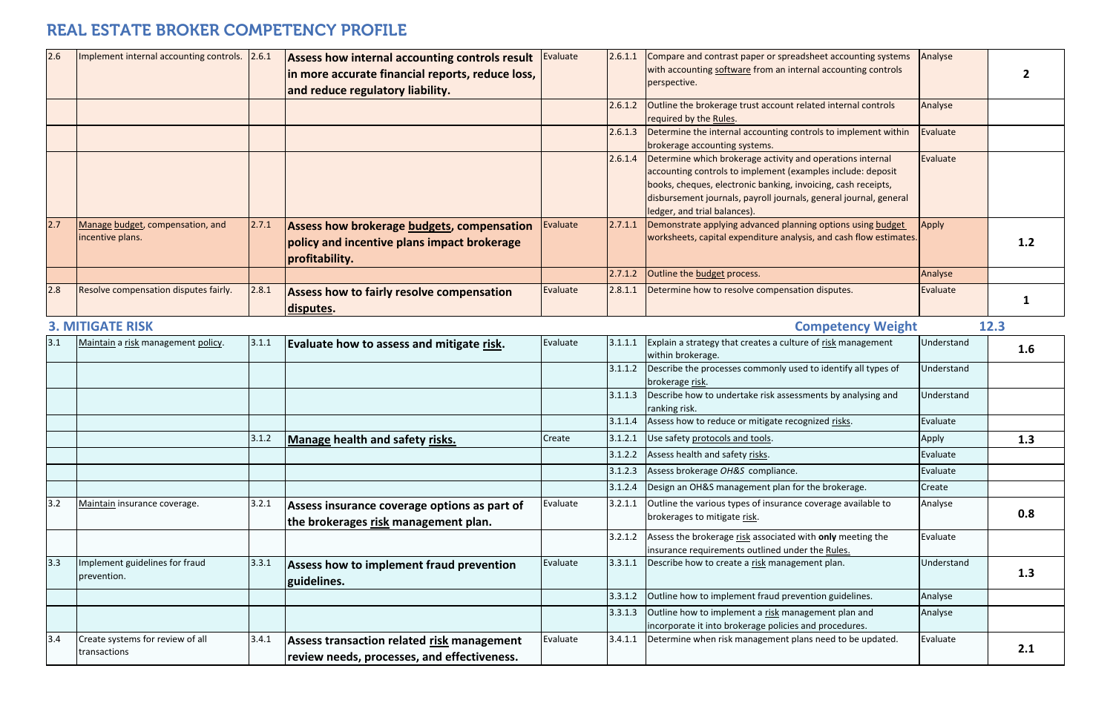| 2.6 | Implement internal accounting controls. 2.6.1        |       | Assess how internal accounting controls result<br>in more accurate financial reports, reduce loss,<br>and reduce regulatory liability. | Evaluate | 2.6.1.1 | Compare and contrast paper or spreadsheet accounting systems<br>with accounting software from an internal accounting controls<br>perspective.                                                                                                                                                   | Analyse    | 2    |
|-----|------------------------------------------------------|-------|----------------------------------------------------------------------------------------------------------------------------------------|----------|---------|-------------------------------------------------------------------------------------------------------------------------------------------------------------------------------------------------------------------------------------------------------------------------------------------------|------------|------|
|     |                                                      |       |                                                                                                                                        |          | 2.6.1.2 | Outline the brokerage trust account related internal controls<br>required by the Rules.                                                                                                                                                                                                         | Analyse    |      |
|     |                                                      |       |                                                                                                                                        |          | 2.6.1.3 | Determine the internal accounting controls to implement within<br>brokerage accounting systems.                                                                                                                                                                                                 | Evaluate   |      |
|     |                                                      |       |                                                                                                                                        |          | 2.6.1.4 | Determine which brokerage activity and operations internal<br>accounting controls to implement (examples include: deposit<br>books, cheques, electronic banking, invoicing, cash receipts,<br>disbursement journals, payroll journals, general journal, general<br>ledger, and trial balances). | Evaluate   |      |
| 2.7 | Manage budget, compensation, and<br>incentive plans. | 2.7.1 | Assess how brokerage budgets, compensation<br>policy and incentive plans impact brokerage<br>profitability.                            | Evaluate | 2.7.1.1 | Demonstrate applying advanced planning options using budget<br>worksheets, capital expenditure analysis, and cash flow estimates.                                                                                                                                                               | Apply      | 1.2  |
|     |                                                      |       |                                                                                                                                        |          | 2.7.1.2 | Outline the budget process.                                                                                                                                                                                                                                                                     | Analyse    |      |
| 2.8 | Resolve compensation disputes fairly.                | 2.8.1 | <b>Assess how to fairly resolve compensation</b><br>disputes.                                                                          | Evaluate |         | 2.8.1.1 Determine how to resolve compensation disputes.                                                                                                                                                                                                                                         | Evaluate   |      |
|     | <b>3. MITIGATE RISK</b>                              |       |                                                                                                                                        |          |         | <b>Competency Weight</b>                                                                                                                                                                                                                                                                        |            | 12.3 |
| 3.1 | Maintain a risk management policy.                   | 3.1.1 | Evaluate how to assess and mitigate risk.                                                                                              | Evaluate | 3.1.1.1 | Explain a strategy that creates a culture of risk management<br>within brokerage.                                                                                                                                                                                                               | Understand | 1.6  |
|     |                                                      |       |                                                                                                                                        |          | 3.1.1.2 | Describe the processes commonly used to identify all types of<br>brokerage risk.                                                                                                                                                                                                                | Understand |      |
|     |                                                      |       |                                                                                                                                        |          | 3.1.1.3 | Describe how to undertake risk assessments by analysing and<br>ranking risk.                                                                                                                                                                                                                    | Understand |      |
|     |                                                      |       |                                                                                                                                        |          | 3.1.1.4 | Assess how to reduce or mitigate recognized risks.                                                                                                                                                                                                                                              | Evaluate   |      |
|     |                                                      | 3.1.2 | <b>Manage health and safety risks.</b>                                                                                                 | Create   | 3.1.2.1 | Use safety protocols and tools.                                                                                                                                                                                                                                                                 | Apply      | 1.3  |
|     |                                                      |       |                                                                                                                                        |          |         | 3.1.2.2 Assess health and safety risks.                                                                                                                                                                                                                                                         | Evaluate   |      |
|     |                                                      |       |                                                                                                                                        |          | 3.1.2.3 | Assess brokerage OH&S compliance.                                                                                                                                                                                                                                                               | Evaluate   |      |
|     |                                                      |       |                                                                                                                                        |          | 3.1.2.4 | Design an OH&S management plan for the brokerage.                                                                                                                                                                                                                                               | Create     |      |
| 3.2 | Maintain insurance coverage.                         | 3.2.1 | Assess insurance coverage options as part of<br>the brokerages risk management plan.                                                   | Evaluate | 3.2.1.1 | Outline the various types of insurance coverage available to<br>brokerages to mitigate risk.                                                                                                                                                                                                    | Analyse    | 0.8  |
|     |                                                      |       |                                                                                                                                        |          | 3.2.1.2 | Assess the brokerage risk associated with only meeting the<br>insurance requirements outlined under the Rules.                                                                                                                                                                                  | Evaluate   |      |
| 3.3 | Implement guidelines for fraud<br>prevention.        | 3.3.1 | <b>Assess how to implement fraud prevention</b><br>guidelines.                                                                         | Evaluate | 3.3.1.1 | Describe how to create a risk management plan.                                                                                                                                                                                                                                                  | Understand | 1.3  |
|     |                                                      |       |                                                                                                                                        |          | 3.3.1.2 | Outline how to implement fraud prevention guidelines.                                                                                                                                                                                                                                           | Analyse    |      |
|     |                                                      |       |                                                                                                                                        |          | 3.3.1.3 | Outline how to implement a risk management plan and<br>incorporate it into brokerage policies and procedures.                                                                                                                                                                                   | Analyse    |      |
| 3.4 | Create systems for review of all<br>transactions     | 3.4.1 | Assess transaction related risk management<br>review needs, processes, and effectiveness.                                              | Evaluate | 3.4.1.1 | Determine when risk management plans need to be updated.                                                                                                                                                                                                                                        | Evaluate   | 2.1  |

| and contrast paper or spreadsheet accounting systems<br>unting software from an internal accounting controls<br>ve.                                                                                                                                 | Analyse    | 2    |
|-----------------------------------------------------------------------------------------------------------------------------------------------------------------------------------------------------------------------------------------------------|------------|------|
| e brokerage trust account related internal controls<br>by the Rules.                                                                                                                                                                                | Analyse    |      |
| e the internal accounting controls to implement within<br>accounting systems.                                                                                                                                                                       | Evaluate   |      |
| e which brokerage activity and operations internal<br>g controls to implement (examples include: deposit<br>eques, electronic banking, invoicing, cash receipts,<br>nent journals, payroll journals, general journal, general<br>d trial balances). | Evaluate   |      |
| ate applying advanced planning options using budget<br>ts, capital expenditure analysis, and cash flow estimates.                                                                                                                                   | Apply      | 1.2  |
| e budget process.                                                                                                                                                                                                                                   | Analyse    |      |
| e how to resolve compensation disputes.                                                                                                                                                                                                             | Evaluate   | 1    |
| <b>Competency Weight</b>                                                                                                                                                                                                                            |            | 12.3 |
| strategy that creates a culture of risk management<br>okerage.                                                                                                                                                                                      | Understand | 1.6  |
| the processes commonly used to identify all types of<br>e <u>risk</u> .                                                                                                                                                                             | Understand |      |
| how to undertake risk assessments by analysing and<br>sk.                                                                                                                                                                                           | Understand |      |
| w to reduce or mitigate recognized risks.                                                                                                                                                                                                           | Evaluate   |      |
| y protocols and tools.                                                                                                                                                                                                                              | Apply      | 1.3  |
| alth and safety risks.                                                                                                                                                                                                                              | Evaluate   |      |
| okerage OH&S compliance.                                                                                                                                                                                                                            | Evaluate   |      |
| OH&S management plan for the brokerage.                                                                                                                                                                                                             | Create     |      |
| e various types of insurance coverage available to<br>es to mitigate risk.                                                                                                                                                                          | Analyse    | 0.8  |
| e brokerage risk associated with only meeting the<br>requirements outlined under the Rules.                                                                                                                                                         | Evaluate   |      |
| how to create a risk management plan.                                                                                                                                                                                                               | Understand | 1.3  |
| ow to implement fraud prevention guidelines.                                                                                                                                                                                                        | Analyse    |      |
| ow to implement a risk management plan and                                                                                                                                                                                                          | Analyse    |      |
| te it into brokerage policies and procedures.                                                                                                                                                                                                       |            |      |
| e when risk management plans need to be updated.                                                                                                                                                                                                    | Evaluate   | 2.1  |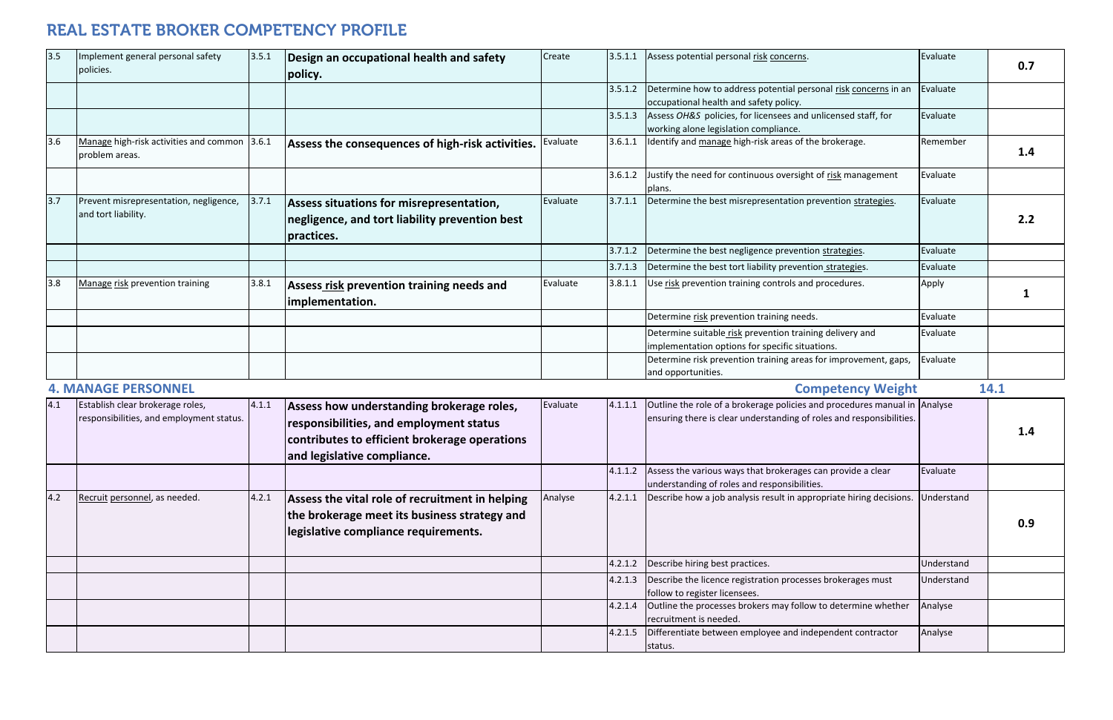| 3.5 | Implement general personal safety<br>policies.                 | 3.5.1 | Design an occupational health and safety<br>policy.                                                      | Create   | 3.5.1.1 | Assess potential personal risk concerns.                                                                    | Evaluate | 0.7  |
|-----|----------------------------------------------------------------|-------|----------------------------------------------------------------------------------------------------------|----------|---------|-------------------------------------------------------------------------------------------------------------|----------|------|
|     |                                                                |       |                                                                                                          |          | 3.5.1.2 | Determine how to address potential personal risk concerns in an<br>occupational health and safety policy.   | Evaluate |      |
|     |                                                                |       |                                                                                                          |          | 3.5.1.3 | Assess OH&S policies, for licensees and unlicensed staff, for<br>working alone legislation compliance.      | Evaluate |      |
| 3.6 | Manage high-risk activities and common 3.6.1<br>problem areas. |       | Assess the consequences of high-risk activities.                                                         | Evaluate | 3.6.1.1 | Identify and manage high-risk areas of the brokerage.                                                       | Remember | 1.4  |
|     |                                                                |       |                                                                                                          |          | 3.6.1.2 | Justify the need for continuous oversight of risk management<br>plans.                                      | Evaluate |      |
| 3.7 | Prevent misrepresentation, negligence,<br>and tort liability.  | 3.7.1 | Assess situations for misrepresentation,<br>negligence, and tort liability prevention best<br>practices. | Evaluate | 3.7.1.1 | Determine the best misrepresentation prevention strategies.                                                 | Evaluate | 2.2  |
|     |                                                                |       |                                                                                                          |          | 3.7.1.2 | Determine the best negligence prevention strategies.                                                        | Evaluate |      |
|     |                                                                |       |                                                                                                          |          | 3.7.1.3 | Determine the best tort liability prevention strategies.                                                    | Evaluate |      |
| 3.8 | Manage risk prevention training                                | 3.8.1 | Assess risk prevention training needs and<br>implementation.                                             | Evaluate | 3.8.1.1 | Use risk prevention training controls and procedures.                                                       | Apply    |      |
|     |                                                                |       |                                                                                                          |          |         | Determine risk prevention training needs.                                                                   | Evaluate |      |
|     |                                                                |       |                                                                                                          |          |         | Determine suitable risk prevention training delivery and<br>implementation options for specific situations. | Evaluate |      |
|     |                                                                |       |                                                                                                          |          |         | Determine risk prevention training areas for improvement, gaps,<br>and opportunities.                       | Evaluate |      |
|     | <b>4. MANAGE PERSONNEL</b>                                     |       |                                                                                                          |          |         | <b>Competency Weight</b>                                                                                    |          | 14.1 |

|     | TI IVI/VIV/VJE I EIVJUIVIJEE                                                 |       |                                                                                                                                                                      |          |         | Competency vycinity                                                                                                                               |            | ---- |
|-----|------------------------------------------------------------------------------|-------|----------------------------------------------------------------------------------------------------------------------------------------------------------------------|----------|---------|---------------------------------------------------------------------------------------------------------------------------------------------------|------------|------|
| 4.1 | Establish clear brokerage roles,<br>responsibilities, and employment status. | 4.1.1 | Assess how understanding brokerage roles,<br>responsibilities, and employment status<br>contributes to efficient brokerage operations<br>and legislative compliance. | Evaluate | 4.1.1.1 | Outline the role of a brokerage policies and procedures manual in Analyse<br>ensuring there is clear understanding of roles and responsibilities. |            | 1.4  |
|     |                                                                              |       |                                                                                                                                                                      |          | 4.1.1.2 | Assess the various ways that brokerages can provide a clear<br>understanding of roles and responsibilities.                                       | Evaluate   |      |
| 4.2 | Recruit personnel, as needed.                                                | 4.2.1 | Assess the vital role of recruitment in helping<br>the brokerage meet its business strategy and<br>legislative compliance requirements.                              | Analyse  | 4.2.1.1 | Describe how a job analysis result in appropriate hiring decisions.                                                                               | Understand | 0.9  |
|     |                                                                              |       |                                                                                                                                                                      |          | 4.2.1.2 | Describe hiring best practices.                                                                                                                   | Understand |      |
|     |                                                                              |       |                                                                                                                                                                      |          | 4.2.1.3 | Describe the licence registration processes brokerages must<br>follow to register licensees.                                                      | Understand |      |
|     |                                                                              |       |                                                                                                                                                                      |          | 4.2.1.4 | Outline the processes brokers may follow to determine whether<br>recruitment is needed.                                                           | Analyse    |      |
|     |                                                                              |       |                                                                                                                                                                      |          | 4.2.1.5 | Differentiate between employee and independent contractor<br>status.                                                                              | Analyse    |      |

#### **4.MANAGE**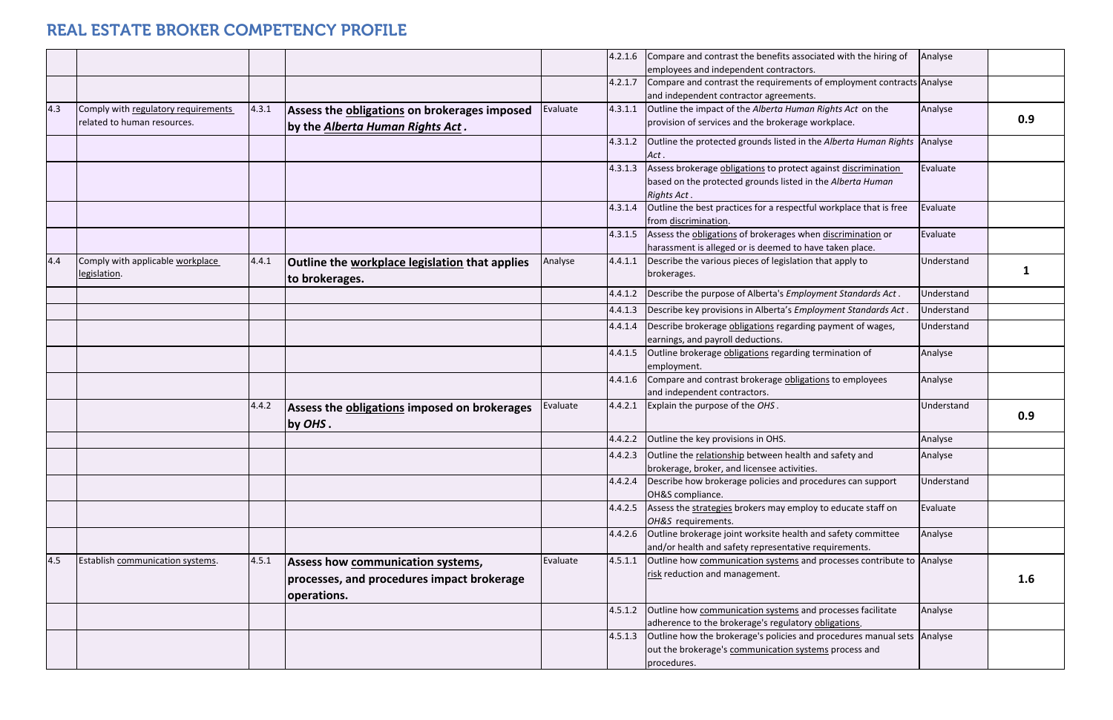|     |                                                                    |       |                                                                                  |          | 4.2.1.6 | Compare and contrast the benefits associated with the hiring of<br>employees and independent contractors.                                       | Analyse    |     |
|-----|--------------------------------------------------------------------|-------|----------------------------------------------------------------------------------|----------|---------|-------------------------------------------------------------------------------------------------------------------------------------------------|------------|-----|
|     |                                                                    |       |                                                                                  |          | 4.2.1.7 | Compare and contrast the requirements of employment contracts Analyse<br>and independent contractor agreements.                                 |            |     |
| 4.3 | Comply with regulatory requirements<br>related to human resources. | 4.3.1 | Assess the obligations on brokerages imposed<br>by the Alberta Human Rights Act. | Evaluate | 4.3.1.1 | Outline the impact of the Alberta Human Rights Act on the<br>provision of services and the brokerage workplace.                                 | Analyse    | 0.9 |
|     |                                                                    |       |                                                                                  |          | 4.3.1.2 | Outline the protected grounds listed in the Alberta Human Rights<br>Act.                                                                        | Analyse    |     |
|     |                                                                    |       |                                                                                  |          | 4.3.1.3 | Assess brokerage obligations to protect against discrimination<br>based on the protected grounds listed in the Alberta Human<br>Rights Act.     | Evaluate   |     |
|     |                                                                    |       |                                                                                  |          | 4.3.1.4 | Outline the best practices for a respectful workplace that is free<br>from discrimination.                                                      | Evaluate   |     |
|     |                                                                    |       |                                                                                  |          | 4.3.1.5 | Assess the obligations of brokerages when discrimination or<br>harassment is alleged or is deemed to have taken place.                          | Evaluate   |     |
| 4.4 | Comply with applicable workplace<br>legislation.                   | 4.4.1 | Outline the workplace legislation that applies<br>to brokerages.                 | Analyse  | 4.4.1.1 | Describe the various pieces of legislation that apply to<br>brokerages.                                                                         | Understand |     |
|     |                                                                    |       |                                                                                  |          | 4.4.1.2 | Describe the purpose of Alberta's Employment Standards Act.                                                                                     | Understand |     |
|     |                                                                    |       |                                                                                  |          | 4.4.1.3 | Describe key provisions in Alberta's Employment Standards Act.                                                                                  | Understand |     |
|     |                                                                    |       |                                                                                  |          | 4.4.1.4 | Describe brokerage obligations regarding payment of wages,                                                                                      | Understand |     |
|     |                                                                    |       |                                                                                  |          |         | earnings, and payroll deductions.                                                                                                               |            |     |
|     |                                                                    |       |                                                                                  |          | 4.4.1.5 | Outline brokerage obligations regarding termination of<br>employment.                                                                           | Analyse    |     |
|     |                                                                    |       |                                                                                  |          | 4.4.1.6 | Compare and contrast brokerage obligations to employees<br>and independent contractors.                                                         | Analyse    |     |
|     |                                                                    | 4.4.2 | Assess the obligations imposed on brokerages<br>by OHS.                          | Evaluate | 4.4.2.1 | Explain the purpose of the OHS.                                                                                                                 | Understand | 0.9 |
|     |                                                                    |       |                                                                                  |          | 4.4.2.2 | Outline the key provisions in OHS.                                                                                                              | Analyse    |     |
|     |                                                                    |       |                                                                                  |          |         | 4.4.2.3 Outline the relationship between health and safety and                                                                                  | Analyse    |     |
|     |                                                                    |       |                                                                                  |          |         | brokerage, broker, and licensee activities.                                                                                                     |            |     |
|     |                                                                    |       |                                                                                  |          | 4.4.2.4 | Describe how brokerage policies and procedures can support<br>OH&S compliance.                                                                  | Understand |     |
|     |                                                                    |       |                                                                                  |          | 4.4.2.5 | Assess the strategies brokers may employ to educate staff on                                                                                    | Evaluate   |     |
|     |                                                                    |       |                                                                                  |          | 4.4.2.6 | OH&S requirements.                                                                                                                              | Analyse    |     |
|     |                                                                    |       |                                                                                  |          |         | Outline brokerage joint worksite health and safety committee<br>and/or health and safety representative requirements.                           |            |     |
| 4.5 | Establish communication systems.                                   | 4.5.1 | Assess how communication systems,                                                | Evaluate | 4.5.1.1 | Outline how communication systems and processes contribute to Analyse                                                                           |            |     |
|     |                                                                    |       | processes, and procedures impact brokerage<br>operations.                        |          |         | risk reduction and management.                                                                                                                  |            | 1.6 |
|     |                                                                    |       |                                                                                  |          | 4.5.1.2 | Outline how communication systems and processes facilitate                                                                                      | Analyse    |     |
|     |                                                                    |       |                                                                                  |          |         | adherence to the brokerage's regulatory obligations.                                                                                            |            |     |
|     |                                                                    |       |                                                                                  |          | 4.5.1.3 | Outline how the brokerage's policies and procedures manual sets Analyse<br>out the brokerage's communication systems process and<br>procedures. |            |     |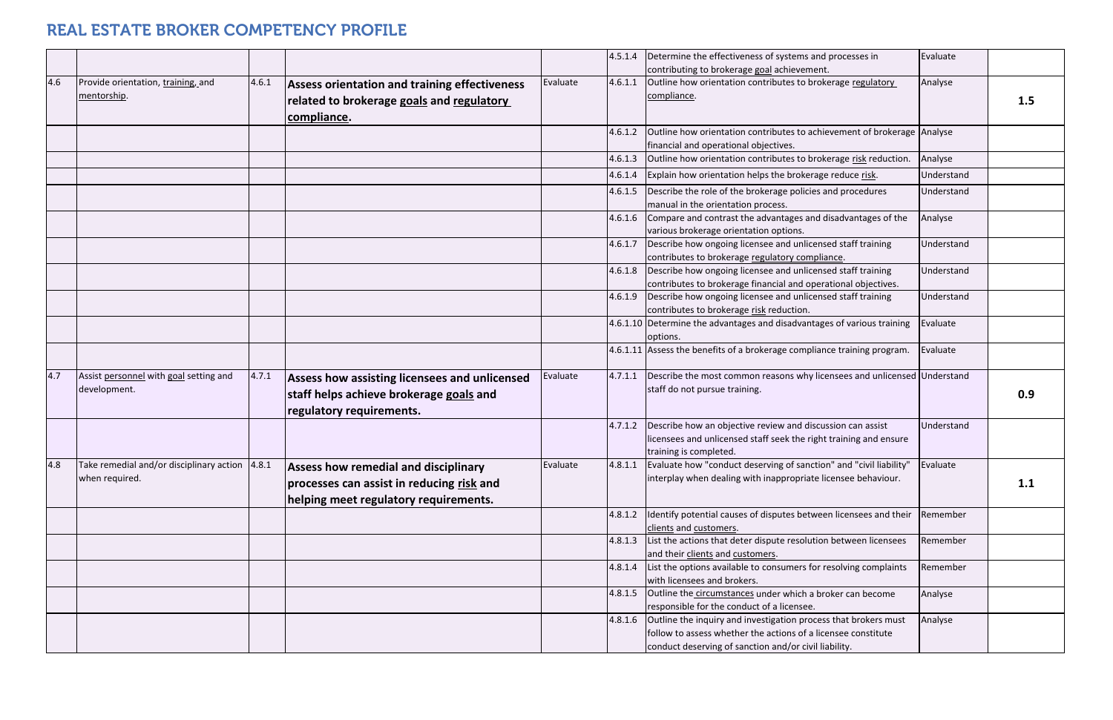|     |                                                          |       |                                                      |          | 4.5.1.4 | Determine the effectiveness of systems and processes in                                                             | Evaluate   |     |
|-----|----------------------------------------------------------|-------|------------------------------------------------------|----------|---------|---------------------------------------------------------------------------------------------------------------------|------------|-----|
|     |                                                          |       |                                                      |          |         | contributing to brokerage goal achievement.                                                                         |            |     |
| 4.6 | Provide orientation, training, and                       | 4.6.1 | <b>Assess orientation and training effectiveness</b> | Evaluate | 4.6.1.1 | Outline how orientation contributes to brokerage regulatory                                                         | Analyse    |     |
|     | mentorship.                                              |       | related to brokerage goals and regulatory            |          |         | compliance.                                                                                                         |            | 1.5 |
|     |                                                          |       | compliance.                                          |          |         |                                                                                                                     |            |     |
|     |                                                          |       |                                                      |          | 4.6.1.2 | Outline how orientation contributes to achievement of brokerage Analyse                                             |            |     |
|     |                                                          |       |                                                      |          |         | financial and operational objectives.                                                                               |            |     |
|     |                                                          |       |                                                      |          | 4.6.1.3 | Outline how orientation contributes to brokerage risk reduction.                                                    | Analyse    |     |
|     |                                                          |       |                                                      |          | 4.6.1.4 | Explain how orientation helps the brokerage reduce risk.                                                            | Understand |     |
|     |                                                          |       |                                                      |          | 4.6.1.5 | Describe the role of the brokerage policies and procedures                                                          | Understand |     |
|     |                                                          |       |                                                      |          |         | manual in the orientation process.                                                                                  |            |     |
|     |                                                          |       |                                                      |          | 4.6.1.6 | Compare and contrast the advantages and disadvantages of the                                                        | Analyse    |     |
|     |                                                          |       |                                                      |          |         | various brokerage orientation options.                                                                              |            |     |
|     |                                                          |       |                                                      |          | 4.6.1.7 | Describe how ongoing licensee and unlicensed staff training                                                         | Understand |     |
|     |                                                          |       |                                                      |          |         | contributes to brokerage regulatory compliance.                                                                     |            |     |
|     |                                                          |       |                                                      |          |         | 4.6.1.8 Describe how ongoing licensee and unlicensed staff training                                                 | Understand |     |
|     |                                                          |       |                                                      |          |         | contributes to brokerage financial and operational objectives.                                                      |            |     |
|     |                                                          |       |                                                      |          | 4.6.1.9 | Describe how ongoing licensee and unlicensed staff training                                                         | Understand |     |
|     |                                                          |       |                                                      |          |         | contributes to brokerage risk reduction.<br>4.6.1.10 Determine the advantages and disadvantages of various training | Evaluate   |     |
|     |                                                          |       |                                                      |          |         | options.                                                                                                            |            |     |
|     |                                                          |       |                                                      |          |         | 4.6.1.11 Assess the benefits of a brokerage compliance training program.                                            | Evaluate   |     |
|     |                                                          |       |                                                      |          |         |                                                                                                                     |            |     |
| 4.7 | Assist personnel with goal setting and                   | 4.7.1 | Assess how assisting licensees and unlicensed        | Evaluate |         | 4.7.1.1 Describe the most common reasons why licensees and unlicensed Understand                                    |            |     |
|     | development.                                             |       | staff helps achieve brokerage goals and              |          |         | staff do not pursue training.                                                                                       |            | 0.9 |
|     |                                                          |       | regulatory requirements.                             |          |         |                                                                                                                     |            |     |
|     |                                                          |       |                                                      |          |         | Describe how an objective review and discussion can assist                                                          | Understand |     |
|     |                                                          |       |                                                      |          | 4.7.1.2 | licensees and unlicensed staff seek the right training and ensure                                                   |            |     |
|     |                                                          |       |                                                      |          |         | training is completed.                                                                                              |            |     |
| 4.8 | Take remedial and/or disciplinary action $ 4.8.1\rangle$ |       | <b>Assess how remedial and disciplinary</b>          | Evaluate |         | 4.8.1.1   Evaluate how "conduct deserving of sanction" and "civil liability"                                        | Evaluate   |     |
|     | when required.                                           |       |                                                      |          |         | interplay when dealing with inappropriate licensee behaviour.                                                       |            |     |
|     |                                                          |       | processes can assist in reducing risk and            |          |         |                                                                                                                     |            | 1.1 |
|     |                                                          |       | helping meet regulatory requirements.                |          |         |                                                                                                                     |            |     |
|     |                                                          |       |                                                      |          | 4.8.1.2 | Identify potential causes of disputes between licensees and their                                                   | Remember   |     |
|     |                                                          |       |                                                      |          |         | clients and customers.                                                                                              |            |     |
|     |                                                          |       |                                                      |          | 4.8.1.3 | List the actions that deter dispute resolution between licensees                                                    | Remember   |     |
|     |                                                          |       |                                                      |          |         | and their clients and customers.<br>List the options available to consumers for resolving complaints                | Remember   |     |
|     |                                                          |       |                                                      |          | 4.8.1.4 | with licensees and brokers.                                                                                         |            |     |
|     |                                                          |       |                                                      |          | 4.8.1.5 | Outline the circumstances under which a broker can become                                                           | Analyse    |     |
|     |                                                          |       |                                                      |          |         | responsible for the conduct of a licensee.                                                                          |            |     |
|     |                                                          |       |                                                      |          | 4.8.1.6 | Outline the inquiry and investigation process that brokers must                                                     | Analyse    |     |
|     |                                                          |       |                                                      |          |         | follow to assess whether the actions of a licensee constitute                                                       |            |     |
|     |                                                          |       |                                                      |          |         | conduct deserving of sanction and/or civil liability.                                                               |            |     |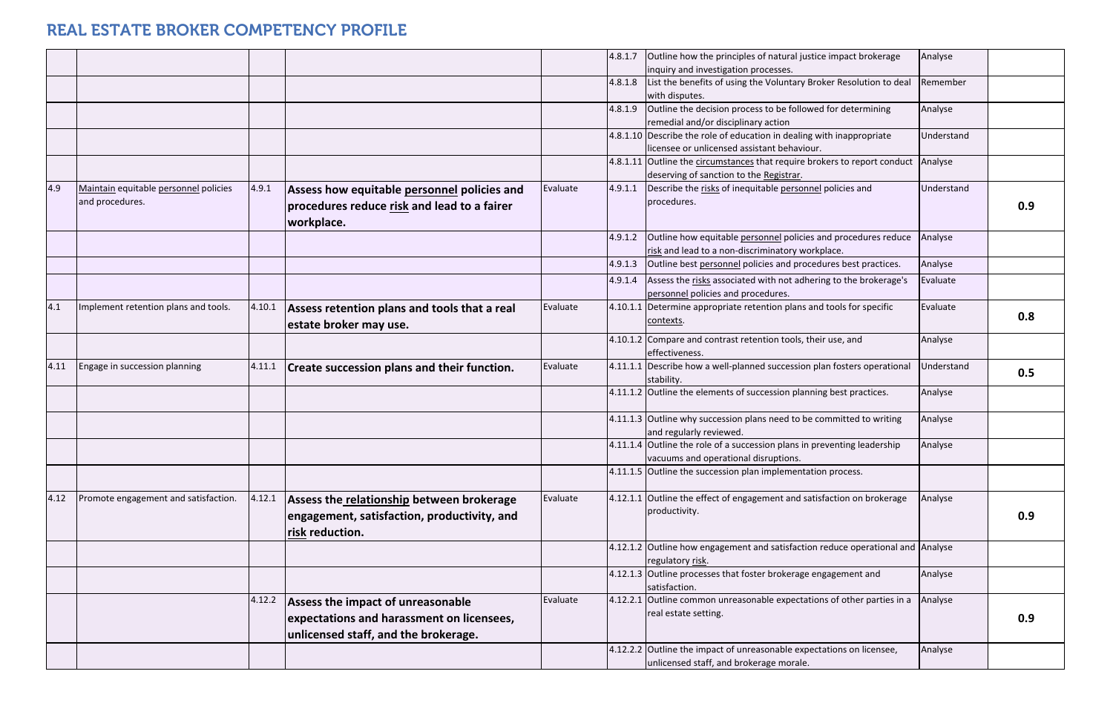|      |                                       |        |                                                    |          | 4.8.1.7 | Outline how the principles of natural justice impact brokerage                       | Analyse    |     |
|------|---------------------------------------|--------|----------------------------------------------------|----------|---------|--------------------------------------------------------------------------------------|------------|-----|
|      |                                       |        |                                                    |          |         | inquiry and investigation processes.                                                 |            |     |
|      |                                       |        |                                                    |          | 4.8.1.8 | List the benefits of using the Voluntary Broker Resolution to deal<br>with disputes. | Remember   |     |
|      |                                       |        |                                                    |          | 4.8.1.9 | Outline the decision process to be followed for determining                          | Analyse    |     |
|      |                                       |        |                                                    |          |         | remedial and/or disciplinary action                                                  |            |     |
|      |                                       |        |                                                    |          |         | 4.8.1.10 Describe the role of education in dealing with inappropriate                | Understand |     |
|      |                                       |        |                                                    |          |         | licensee or unlicensed assistant behaviour.                                          |            |     |
|      |                                       |        |                                                    |          |         | 4.8.1.11 Outline the circumstances that require brokers to report conduct            | Analyse    |     |
|      |                                       |        |                                                    |          |         | deserving of sanction to the Registrar.                                              |            |     |
| 4.9  | Maintain equitable personnel policies | 4.9.1  | Assess how equitable personnel policies and        | Evaluate | 4.9.1.1 | Describe the risks of inequitable personnel policies and                             | Understand |     |
|      | and procedures.                       |        | procedures reduce risk and lead to a fairer        |          |         | procedures.                                                                          |            | 0.9 |
|      |                                       |        | workplace.                                         |          |         |                                                                                      |            |     |
|      |                                       |        |                                                    |          | 4.9.1.2 | Outline how equitable personnel policies and procedures reduce                       | Analyse    |     |
|      |                                       |        |                                                    |          |         | risk and lead to a non-discriminatory workplace.                                     |            |     |
|      |                                       |        |                                                    |          | 4.9.1.3 | Outline best personnel policies and procedures best practices.                       | Analyse    |     |
|      |                                       |        |                                                    |          | 4.9.1.4 | Assess the risks associated with not adhering to the brokerage's                     | Evaluate   |     |
|      |                                       |        |                                                    |          |         | personnel policies and procedures.                                                   |            |     |
| 4.1  | Implement retention plans and tools.  | 4.10.1 | Assess retention plans and tools that a real       | Evaluate |         | 4.10.1.1 Determine appropriate retention plans and tools for specific                | Evaluate   |     |
|      |                                       |        | estate broker may use.                             |          |         | contexts.                                                                            |            | 0.8 |
|      |                                       |        |                                                    |          |         | 4.10.1.2 Compare and contrast retention tools, their use, and                        | Analyse    |     |
|      |                                       |        |                                                    |          |         | effectiveness.                                                                       |            |     |
| 4.11 | Engage in succession planning         | 4.11.1 | <b>Create succession plans and their function.</b> | Evaluate |         | 4.11.1.1 Describe how a well-planned succession plan fosters operational             | Jnderstand | 0.5 |
|      |                                       |        |                                                    |          |         | stability.                                                                           |            |     |
|      |                                       |        |                                                    |          |         | 4.11.1.2 Outline the elements of succession planning best practices.                 | Analyse    |     |
|      |                                       |        |                                                    |          |         | 4.11.1.3 Outline why succession plans need to be committed to writing                | Analyse    |     |
|      |                                       |        |                                                    |          |         | and regularly reviewed.                                                              |            |     |
|      |                                       |        |                                                    |          |         | $4.11.1.4$ Outline the role of a succession plans in preventing leadership           | Analyse    |     |
|      |                                       |        |                                                    |          |         | vacuums and operational disruptions.                                                 |            |     |
|      |                                       |        |                                                    |          |         | 4.11.1.5 Outline the succession plan implementation process.                         |            |     |
|      |                                       |        |                                                    |          |         |                                                                                      |            |     |
| 4.12 | Promote engagement and satisfaction.  | 4.12.1 | Assess the relationship between brokerage          | Evaluate |         | 4.12.1.1 Outline the effect of engagement and satisfaction on brokerage              | Analyse    |     |
|      |                                       |        | engagement, satisfaction, productivity, and        |          |         | productivity.                                                                        |            | 0.9 |
|      |                                       |        | risk reduction.                                    |          |         |                                                                                      |            |     |
|      |                                       |        |                                                    |          |         | 4.12.1.2 Outline how engagement and satisfaction reduce operational and Analyse      |            |     |
|      |                                       |        |                                                    |          |         | regulatory risk.                                                                     |            |     |
|      |                                       |        |                                                    |          |         | 4.12.1.3 Outline processes that foster brokerage engagement and                      | Analyse    |     |
|      |                                       |        |                                                    |          |         | satisfaction.                                                                        |            |     |
|      |                                       | 4.12.2 | Assess the impact of unreasonable                  | Evaluate |         | 4.12.2.1 Outline common unreasonable expectations of other parties in a              | Analyse    |     |
|      |                                       |        | expectations and harassment on licensees,          |          |         | real estate setting.                                                                 |            | 0.9 |
|      |                                       |        | unlicensed staff, and the brokerage.               |          |         |                                                                                      |            |     |
|      |                                       |        |                                                    |          |         | 4.12.2.2 Outline the impact of unreasonable expectations on licensee,                | Analyse    |     |
|      |                                       |        |                                                    |          |         | unlicensed staff, and brokerage morale.                                              |            |     |
|      |                                       |        |                                                    |          |         |                                                                                      |            |     |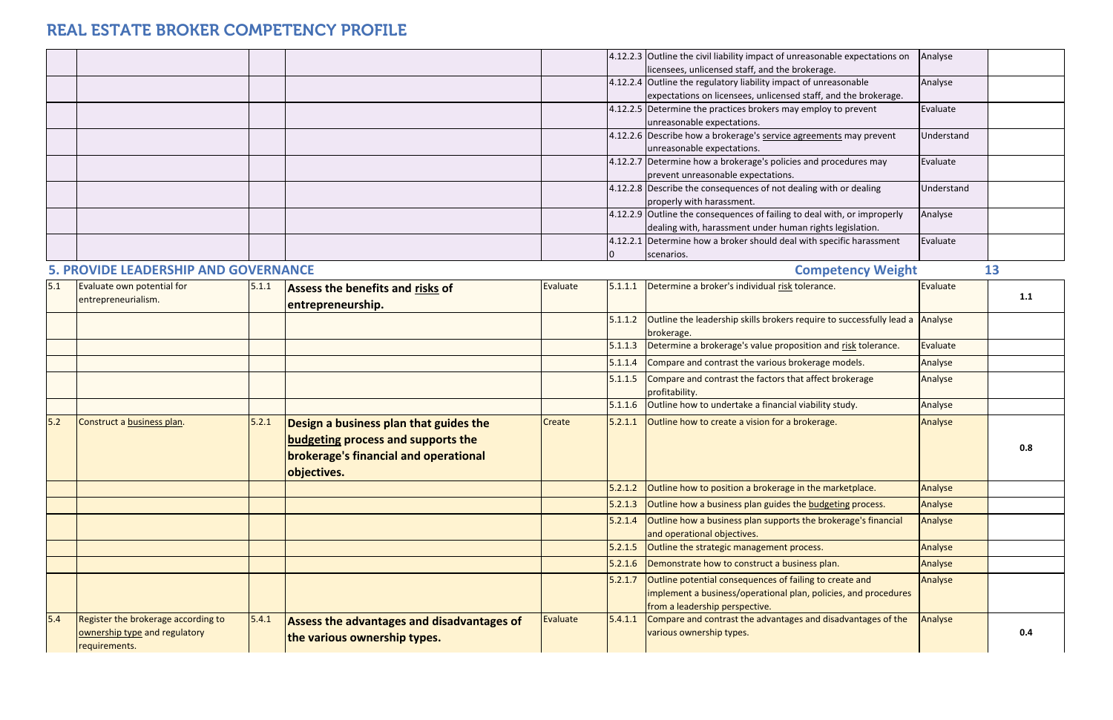|     |                                                                                       |       |                                                                                                                                      |          |         | 4.12.2.3 Outline the civil liability impact of unreasonable expectations on<br>licensees, unlicensed staff, and the brokerage.                               | Analyse    |     |
|-----|---------------------------------------------------------------------------------------|-------|--------------------------------------------------------------------------------------------------------------------------------------|----------|---------|--------------------------------------------------------------------------------------------------------------------------------------------------------------|------------|-----|
|     |                                                                                       |       |                                                                                                                                      |          |         | 4.12.2.4 Outline the regulatory liability impact of unreasonable<br>expectations on licensees, unlicensed staff, and the brokerage.                          | Analyse    |     |
|     |                                                                                       |       |                                                                                                                                      |          |         | 4.12.2.5 Determine the practices brokers may employ to prevent<br>unreasonable expectations.                                                                 | Evaluate   |     |
|     |                                                                                       |       |                                                                                                                                      |          |         | 4.12.2.6 Describe how a brokerage's service agreements may prevent<br>unreasonable expectations.                                                             | Understand |     |
|     |                                                                                       |       |                                                                                                                                      |          |         | 4.12.2.7 Determine how a brokerage's policies and procedures may<br>prevent unreasonable expectations.                                                       | Evaluate   |     |
|     |                                                                                       |       |                                                                                                                                      |          |         | 4.12.2.8 Describe the consequences of not dealing with or dealing<br>properly with harassment.                                                               | Understand |     |
|     |                                                                                       |       |                                                                                                                                      |          |         | 4.12.2.9 Outline the consequences of failing to deal with, or improperly<br>dealing with, harassment under human rights legislation.                         | Analyse    |     |
|     |                                                                                       |       |                                                                                                                                      |          |         | 4.12.2.1 Determine how a broker should deal with specific harassment<br>scenarios.                                                                           | Evaluate   |     |
|     | <b>5. PROVIDE LEADERSHIP AND GOVERNANCE</b>                                           |       |                                                                                                                                      |          |         | <b>Competency Weight</b>                                                                                                                                     |            | 13  |
| 5.1 | Evaluate own potential for<br>entrepreneurialism.                                     | 5.1.1 | Assess the benefits and risks of<br>entrepreneurship.                                                                                | Evaluate | 5.1.1.1 | Determine a broker's individual risk tolerance.                                                                                                              | Evaluate   | 1.1 |
|     |                                                                                       |       |                                                                                                                                      |          | 5.1.1.2 | Outline the leadership skills brokers require to successfully lead a Analyse<br>brokerage.                                                                   |            |     |
|     |                                                                                       |       |                                                                                                                                      |          | 5.1.1.3 | Determine a brokerage's value proposition and risk tolerance.                                                                                                | Evaluate   |     |
|     |                                                                                       |       |                                                                                                                                      |          | 5.1.1.4 | Compare and contrast the various brokerage models.                                                                                                           | Analyse    |     |
|     |                                                                                       |       |                                                                                                                                      |          | 5.1.1.5 | Compare and contrast the factors that affect brokerage<br>profitability.                                                                                     | Analyse    |     |
|     |                                                                                       |       |                                                                                                                                      |          | 5.1.1.6 | Outline how to undertake a financial viability study.                                                                                                        | Analyse    |     |
| 5.2 | Construct a business plan.                                                            | 5.2.1 | Design a business plan that guides the<br>budgeting process and supports the<br>brokerage's financial and operational<br>objectives. | Create   | 5.2.1.1 | Outline how to create a vision for a brokerage.                                                                                                              | Analyse    | 0.8 |
|     |                                                                                       |       |                                                                                                                                      |          | 5.2.1.2 | Outline how to position a brokerage in the marketplace.                                                                                                      | Analyse    |     |
|     |                                                                                       |       |                                                                                                                                      |          | 5.2.1.3 | Outline how a business plan guides the budgeting process.                                                                                                    | Analyse    |     |
|     |                                                                                       |       |                                                                                                                                      |          | 5.2.1.4 | Outline how a business plan supports the brokerage's financial<br>and operational objectives.                                                                | Analyse    |     |
|     |                                                                                       |       |                                                                                                                                      |          | 5.2.1.5 | Outline the strategic management process.                                                                                                                    | Analyse    |     |
|     |                                                                                       |       |                                                                                                                                      |          | 5.2.1.6 | Demonstrate how to construct a business plan.                                                                                                                | Analyse    |     |
|     |                                                                                       |       |                                                                                                                                      |          | 5.2.1.7 | Outline potential consequences of failing to create and<br>implement a business/operational plan, policies, and procedures<br>from a leadership perspective. | Analyse    |     |
| 5.4 | Register the brokerage according to<br>ownership type and regulatory<br>requirements. | 5.4.1 | Assess the advantages and disadvantages of<br>the various ownership types.                                                           | Evaluate | 5.4.1.1 | Compare and contrast the advantages and disadvantages of the<br>various ownership types.                                                                     | Analyse    | 0.4 |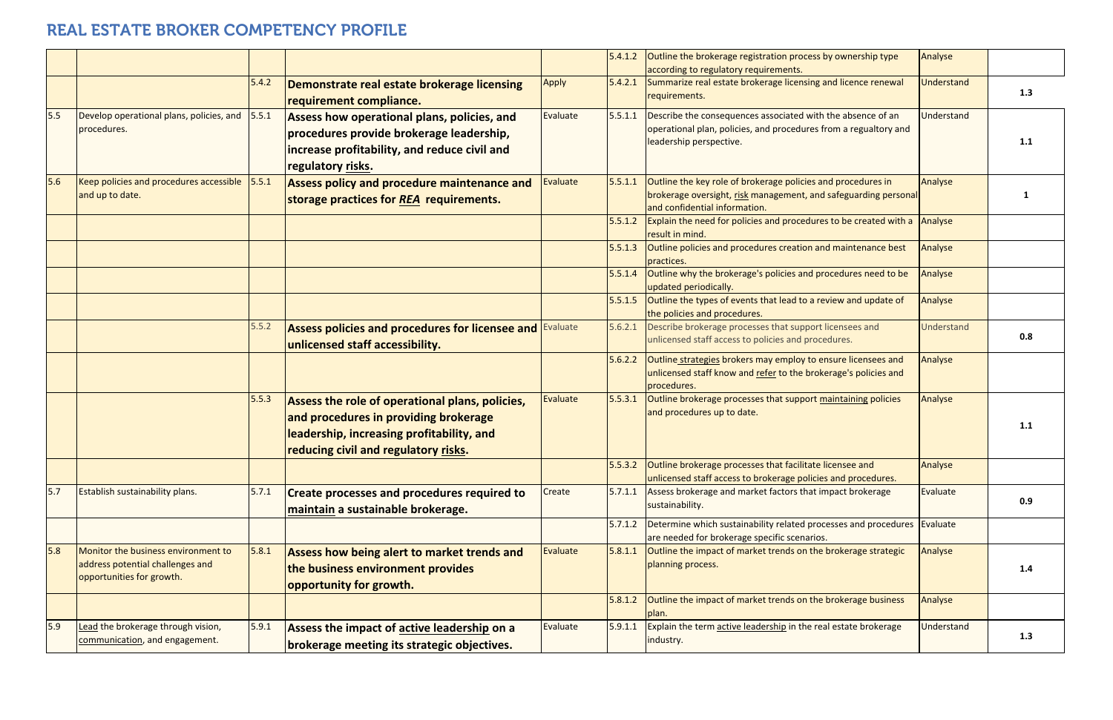|     |                                                                                                      |       |                                                                                                                                                                               |              |         | $5.4.1.2$ Outline the brokerage registration process by ownership type<br>according to regulatory requirements.                                                  | Analyse           |     |
|-----|------------------------------------------------------------------------------------------------------|-------|-------------------------------------------------------------------------------------------------------------------------------------------------------------------------------|--------------|---------|------------------------------------------------------------------------------------------------------------------------------------------------------------------|-------------------|-----|
|     |                                                                                                      | 5.4.2 | Demonstrate real estate brokerage licensing<br>requirement compliance.                                                                                                        | <b>Apply</b> | 5.4.2.1 | Summarize real estate brokerage licensing and licence renewal<br>requirements.                                                                                   | <b>Jnderstand</b> | 1.3 |
| 5.5 | Develop operational plans, policies, and 5.5.1<br>procedures.                                        |       | Assess how operational plans, policies, and<br>procedures provide brokerage leadership,<br>increase profitability, and reduce civil and<br>regulatory risks.                  | Evaluate     | 5.5.1.1 | Describe the consequences associated with the absence of an<br>operational plan, policies, and procedures from a regualtory and<br>leadership perspective.       | Understand        | 1.1 |
| 5.6 | Keep policies and procedures accessible<br>and up to date.                                           | 5.5.1 | Assess policy and procedure maintenance and<br>storage practices for REA requirements.                                                                                        | Evaluate     | 5.5.1.1 | Outline the key role of brokerage policies and procedures in<br>brokerage oversight, risk management, and safeguarding personal<br>and confidential information. | Analyse           |     |
|     |                                                                                                      |       |                                                                                                                                                                               |              | 5.5.1.2 | Explain the need for policies and procedures to be created with a<br>result in mind.                                                                             | Analyse           |     |
|     |                                                                                                      |       |                                                                                                                                                                               |              | 5.5.1.3 | Outline policies and procedures creation and maintenance best<br>practices.                                                                                      | Analyse           |     |
|     |                                                                                                      |       |                                                                                                                                                                               |              | 5.5.1.4 | Outline why the brokerage's policies and procedures need to be<br>updated periodically.                                                                          | Analyse           |     |
|     |                                                                                                      |       |                                                                                                                                                                               |              | 5.5.1.5 | Outline the types of events that lead to a review and update of<br>the policies and procedures.                                                                  | Analyse           |     |
|     |                                                                                                      | 5.5.2 | Assess policies and procedures for licensee and<br>unlicensed staff accessibility.                                                                                            | Evaluate     | 5.6.2.1 | Describe brokerage processes that support licensees and<br>unlicensed staff access to policies and procedures.                                                   | Understand        | 0.8 |
|     |                                                                                                      |       |                                                                                                                                                                               |              | 5.6.2.2 | Outline strategies brokers may employ to ensure licensees and<br>unlicensed staff know and refer to the brokerage's policies and<br>procedures.                  | Analyse           |     |
|     |                                                                                                      | 5.5.3 | Assess the role of operational plans, policies,<br>and procedures in providing brokerage<br>leadership, increasing profitability, and<br>reducing civil and regulatory risks. | Evaluate     | 5.5.3.1 | Outline brokerage processes that support maintaining policies<br>and procedures up to date.                                                                      | Analyse           | 1.1 |
|     |                                                                                                      |       |                                                                                                                                                                               |              | 5.5.3.2 | Outline brokerage processes that facilitate licensee and<br>unlicensed staff access to brokerage policies and procedures.                                        | Analyse           |     |
| 5.7 | <b>Establish sustainability plans.</b>                                                               | 5.7.1 | <b>Create processes and procedures required to</b><br>maintain a sustainable brokerage.                                                                                       | Create       | 5.7.1.1 | Assess brokerage and market factors that impact brokerage<br>sustainability.                                                                                     | Evaluate          | 0.9 |
|     |                                                                                                      |       |                                                                                                                                                                               |              | 5.7.1.2 | Determine which sustainability related processes and procedures<br>are needed for brokerage specific scenarios.                                                  | Evaluate          |     |
| 5.8 | Monitor the business environment to<br>address potential challenges and<br>opportunities for growth. | 5.8.1 | Assess how being alert to market trends and<br>the business environment provides<br>opportunity for growth.                                                                   | Evaluate     | 5.8.1.1 | Outline the impact of market trends on the brokerage strategic<br>planning process.                                                                              | Analyse           | 1.4 |
|     |                                                                                                      |       |                                                                                                                                                                               |              | 5.8.1.2 | Outline the impact of market trends on the brokerage business<br>plan.                                                                                           | Analyse           |     |
| 5.9 | Lead the brokerage through vision,<br>communication, and engagement.                                 | 5.9.1 | Assess the impact of active leadership on a<br>brokerage meeting its strategic objectives.                                                                                    | Evaluate     | 5.9.1.1 | Explain the term active leadership in the real estate brokerage<br>industry.                                                                                     | <b>Jnderstand</b> | 1.3 |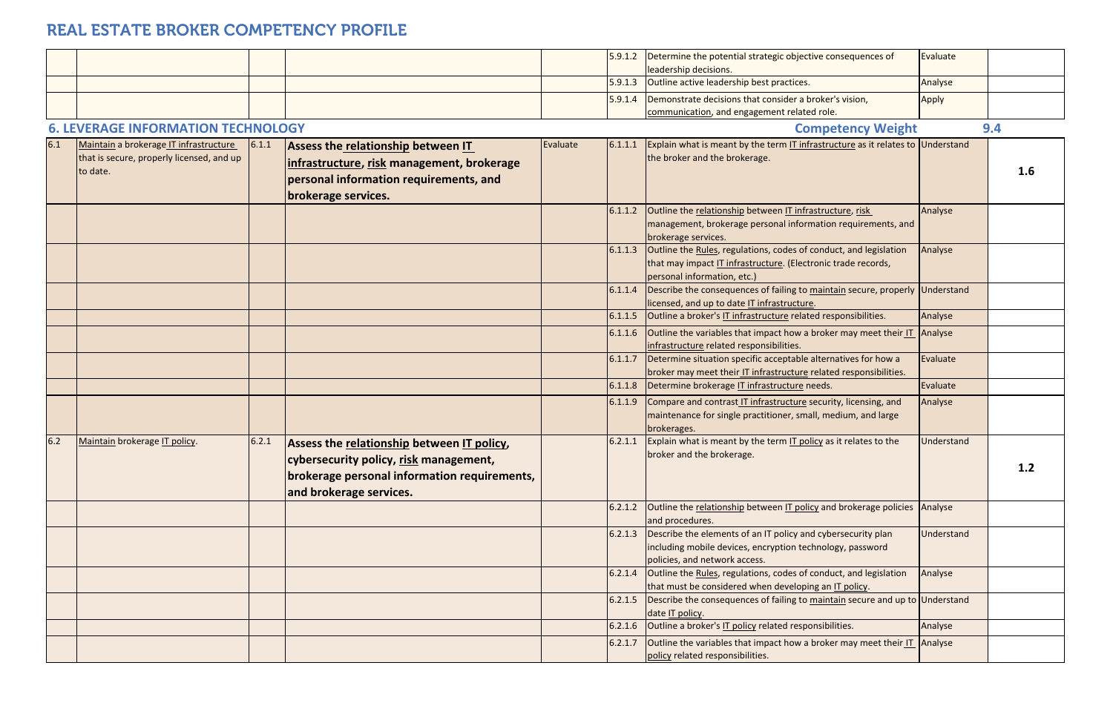|     |                                                                                                 |       |                                                                                                                                                                 |          | 5.9.1.2 | Determine the potential strategic objective consequences of<br>leadership decisions.                                                                              | Evaluate   |     |
|-----|-------------------------------------------------------------------------------------------------|-------|-----------------------------------------------------------------------------------------------------------------------------------------------------------------|----------|---------|-------------------------------------------------------------------------------------------------------------------------------------------------------------------|------------|-----|
|     |                                                                                                 |       |                                                                                                                                                                 |          | 5.9.1.3 | Outline active leadership best practices.                                                                                                                         | Analyse    |     |
|     |                                                                                                 |       |                                                                                                                                                                 |          | 5.9.1.4 | Demonstrate decisions that consider a broker's vision,<br>communication, and engagement related role.                                                             | Apply      |     |
|     | <b>6. LEVERAGE INFORMATION TECHNOLOGY</b>                                                       |       |                                                                                                                                                                 |          |         | <b>Competency Weight</b>                                                                                                                                          |            | 9.4 |
| 6.1 | Maintain a brokerage IT infrastructure<br>that is secure, properly licensed, and up<br>to date. | 6.1.1 | Assess the relationship between IT<br>infrastructure, risk management, brokerage<br>personal information requirements, and<br>brokerage services.               | Evaluate | 6.1.1.1 | Explain what is meant by the term IT infrastructure as it relates to Understand<br>the broker and the brokerage.                                                  |            | 1.6 |
|     |                                                                                                 |       |                                                                                                                                                                 |          | 6.1.1.2 | Outline the relationship between IT infrastructure, risk<br>management, brokerage personal information requirements, and<br>brokerage services.                   | Analyse    |     |
|     |                                                                                                 |       |                                                                                                                                                                 |          | 6.1.1.3 | Outline the Rules, regulations, codes of conduct, and legislation<br>that may impact IT infrastructure. (Electronic trade records,<br>personal information, etc.) | Analyse    |     |
|     |                                                                                                 |       |                                                                                                                                                                 |          | 6.1.1.4 | Describe the consequences of failing to maintain secure, properly Understand<br>licensed, and up to date IT infrastructure.                                       |            |     |
|     |                                                                                                 |       |                                                                                                                                                                 |          | 6.1.1.5 | Outline a broker's IT infrastructure related responsibilities.                                                                                                    | Analyse    |     |
|     |                                                                                                 |       |                                                                                                                                                                 |          | 6.1.1.6 | Outline the variables that impact how a broker may meet their IT Analyse<br>infrastructure related responsibilities.                                              |            |     |
|     |                                                                                                 |       |                                                                                                                                                                 |          | 6.1.1.7 | Determine situation specific acceptable alternatives for how a<br>broker may meet their IT infrastructure related responsibilities.                               | Evaluate   |     |
|     |                                                                                                 |       |                                                                                                                                                                 |          | 6.1.1.8 | Determine brokerage IT infrastructure needs.                                                                                                                      | Evaluate   |     |
|     |                                                                                                 |       |                                                                                                                                                                 |          | 6.1.1.9 | Compare and contrast IT infrastructure security, licensing, and<br>maintenance for single practitioner, small, medium, and large<br>brokerages.                   | Analyse    |     |
| 6.2 | Maintain brokerage IT policy.                                                                   | 6.2.1 | Assess the relationship between IT policy,<br>cybersecurity policy, risk management,<br>brokerage personal information requirements,<br>and brokerage services. |          | 6.2.1.1 | Explain what is meant by the term IT policy as it relates to the<br>broker and the brokerage.                                                                     | Understand | 1.2 |
|     |                                                                                                 |       |                                                                                                                                                                 |          | 6.2.1.2 | Outline the relationship between IT policy and brokerage policies Analyse<br>and procedures.                                                                      |            |     |
|     |                                                                                                 |       |                                                                                                                                                                 |          | 6.2.1.3 | Describe the elements of an IT policy and cybersecurity plan<br>including mobile devices, encryption technology, password<br>policies, and network access.        | Understand |     |
|     |                                                                                                 |       |                                                                                                                                                                 |          | 6.2.1.4 | Outline the Rules, regulations, codes of conduct, and legislation<br>that must be considered when developing an IT policy.                                        | Analyse    |     |
|     |                                                                                                 |       |                                                                                                                                                                 |          | 6.2.1.5 | Describe the consequences of failing to maintain secure and up to Understand<br>date IT policy.                                                                   |            |     |
|     |                                                                                                 |       |                                                                                                                                                                 |          | 6.2.1.6 | Outline a broker's IT policy related responsibilities.                                                                                                            | Analyse    |     |
|     |                                                                                                 |       |                                                                                                                                                                 |          | 6.2.1.7 | Outline the variables that impact how a broker may meet their IT Analyse<br>policy related responsibilities.                                                      |            |     |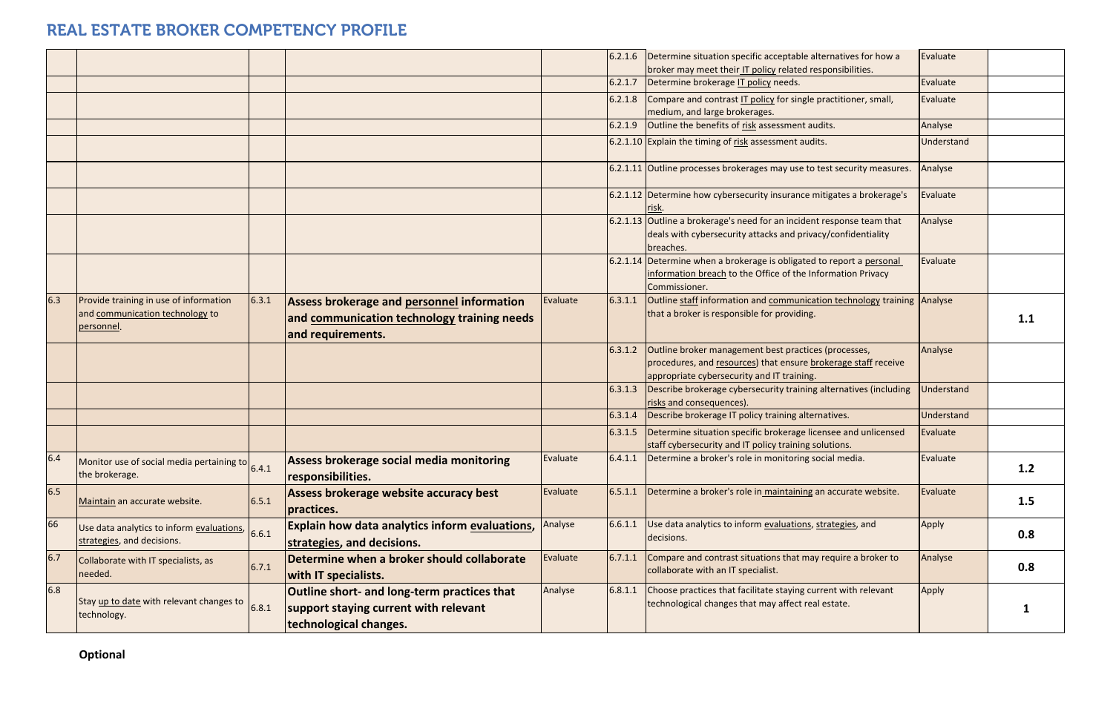|     |                                                                                         |       |                                                                                                                       |          | 6.2.1.6 | Determine situation specific acceptable alternatives for how a<br>broker may meet their IT policy related responsibilities.                                          | Evaluate          |     |
|-----|-----------------------------------------------------------------------------------------|-------|-----------------------------------------------------------------------------------------------------------------------|----------|---------|----------------------------------------------------------------------------------------------------------------------------------------------------------------------|-------------------|-----|
|     |                                                                                         |       |                                                                                                                       |          | 6.2.1.7 | Determine brokerage IT policy needs.                                                                                                                                 | Evaluate          |     |
|     |                                                                                         |       |                                                                                                                       |          | 6.2.1.8 | Compare and contrast IT policy for single practitioner, small,<br>medium, and large brokerages.                                                                      | Evaluate          |     |
|     |                                                                                         |       |                                                                                                                       |          | 6.2.1.9 | Outline the benefits of risk assessment audits.                                                                                                                      | Analyse           |     |
|     |                                                                                         |       |                                                                                                                       |          |         | 6.2.1.10 Explain the timing of risk assessment audits.                                                                                                               | Understand        |     |
|     |                                                                                         |       |                                                                                                                       |          |         | 6.2.1.11 Outline processes brokerages may use to test security measures.                                                                                             | Analyse           |     |
|     |                                                                                         |       |                                                                                                                       |          |         | 6.2.1.12 Determine how cybersecurity insurance mitigates a brokerage's<br>risk.                                                                                      | Evaluate          |     |
|     |                                                                                         |       |                                                                                                                       |          |         | 6.2.1.13 Outline a brokerage's need for an incident response team that<br>deals with cybersecurity attacks and privacy/confidentiality<br>breaches.                  | Analyse           |     |
|     |                                                                                         |       |                                                                                                                       |          |         | 6.2.1.14 Determine when a brokerage is obligated to report a personal<br>information breach to the Office of the Information Privacy<br>Commissioner.                | Evaluate          |     |
| 6.3 | Provide training in use of information<br>and communication technology to<br>personnel. | 6.3.1 | <b>Assess brokerage and personnel information</b><br>and communication technology training needs<br>and requirements. | Evaluate | 6.3.1.1 | Outline staff information and communication technology training Analyse<br>that a broker is responsible for providing.                                               |                   | 1.1 |
|     |                                                                                         |       |                                                                                                                       |          | 6.3.1.2 | Outline broker management best practices (processes,<br>procedures, and resources) that ensure brokerage staff receive<br>appropriate cybersecurity and IT training. | Analyse           |     |
|     |                                                                                         |       |                                                                                                                       |          | 6.3.1.3 | Describe brokerage cybersecurity training alternatives (including<br>risks and consequences).                                                                        | <b>Jnderstand</b> |     |
|     |                                                                                         |       |                                                                                                                       |          | 6.3.1.4 | Describe brokerage IT policy training alternatives.                                                                                                                  | <b>Understand</b> |     |
|     |                                                                                         |       |                                                                                                                       |          | 6.3.1.5 | Determine situation specific brokerage licensee and unlicensed<br>staff cybersecurity and IT policy training solutions.                                              | Evaluate          |     |
| 6.4 | Monitor use of social media pertaining to $6.4.1$<br>the brokerage.                     |       | Assess brokerage social media monitoring<br>responsibilities.                                                         | Evaluate |         | 6.4.1.1 Determine a broker's role in monitoring social media.                                                                                                        | Evaluate          | 1.2 |
| 6.5 | Maintain an accurate website.                                                           | 6.5.1 | Assess brokerage website accuracy best<br>practices.                                                                  | Evaluate | 6.5.1.1 | Determine a broker's role in maintaining an accurate website.                                                                                                        | Evaluate          | 1.5 |
| 66  | Use data analytics to inform evaluations,<br>strategies, and decisions.                 | 6.6.1 | <b>Explain how data analytics inform evaluations,</b><br>strategies, and decisions.                                   | Analyse  | 6.6.1.1 | Use data analytics to inform evaluations, strategies, and<br>decisions.                                                                                              | Apply             | 0.8 |
| 6.7 | Collaborate with IT specialists, as<br>needed.                                          | 6.7.1 | Determine when a broker should collaborate<br><b>with IT specialists.</b>                                             | Evaluate | 6.7.1.1 | Compare and contrast situations that may require a broker to<br>collaborate with an IT specialist.                                                                   | Analyse           | 0.8 |
| 6.8 | Stay up to date with relevant changes to<br>technology.                                 | 6.8.1 | Outline short- and long-term practices that<br>support staying current with relevant<br>technological changes.        | Analyse  | 6.8.1.1 | Choose practices that facilitate staying current with relevant<br>technological changes that may affect real estate.                                                 | Apply             |     |

**Optional**